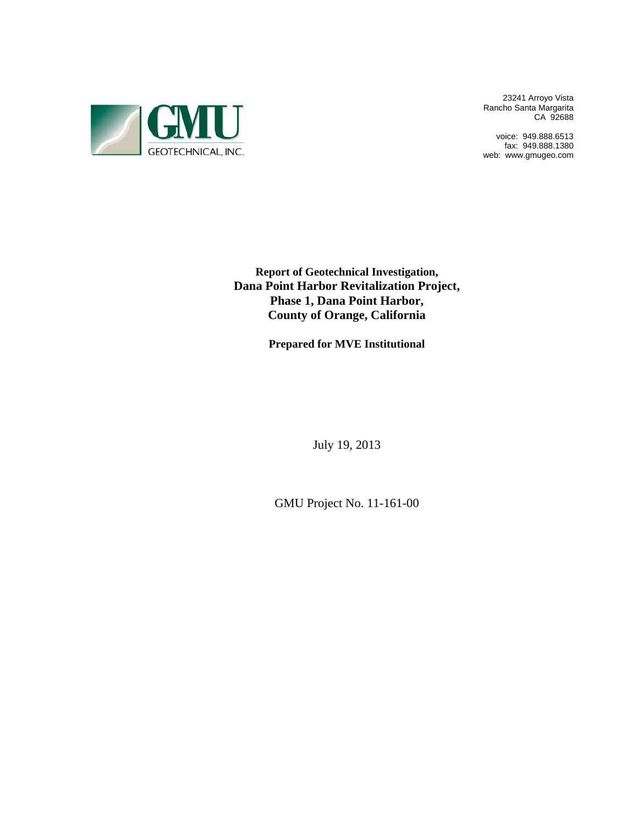

23241 Arroyo Vista Rancho Santa Margarita CA 92688

voice: 949.888.6513 fax: 949.888.1380 web: www.gmugeo.com

**Report of Geotechnical Investigation, Dana Point Harbor Revitalization Project, Phase 1, Dana Point Harbor, County of Orange, California** 

**Prepared for MVE Institutional**

July 19, 2013

GMU Project No. 11-161-00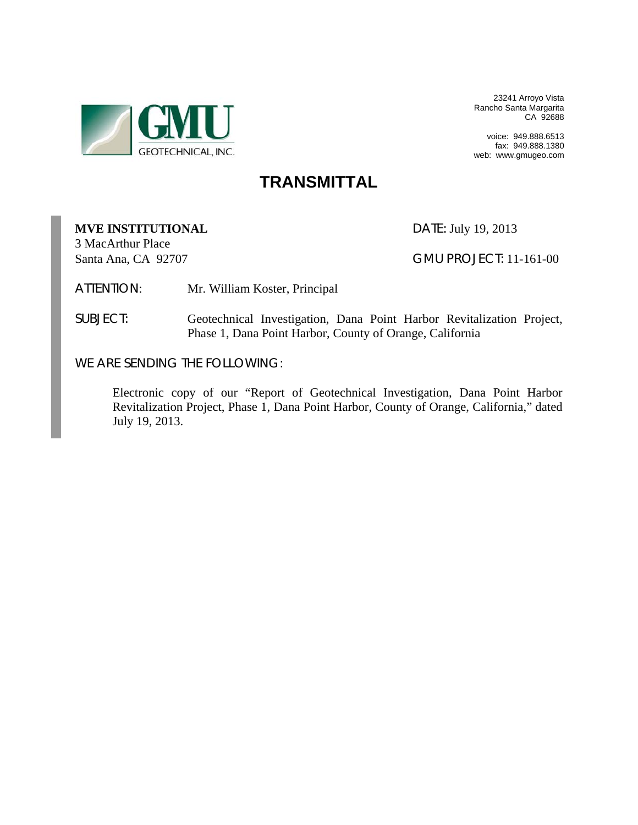

23241 Arroyo Vista Rancho Santa Margarita CA 92688

voice: 949.888.6513 fax: 949.888.1380 web: www.gmugeo.com

# **TRANSMITTAL**

# **MVE INSTITUTIONAL** DATE: July 19, 2013

3 MacArthur Place

Santa Ana, CA 92707 GMU PROJECT: 11-161-00

ATTENTION: Mr. William Koster, Principal

SUBJECT: Geotechnical Investigation, Dana Point Harbor Revitalization Project, Phase 1, Dana Point Harbor, County of Orange, California

WE ARE SENDING THE FOLLOWING:

 Electronic copy of our "Report of Geotechnical Investigation, Dana Point Harbor Revitalization Project, Phase 1, Dana Point Harbor, County of Orange, California," dated July 19, 2013.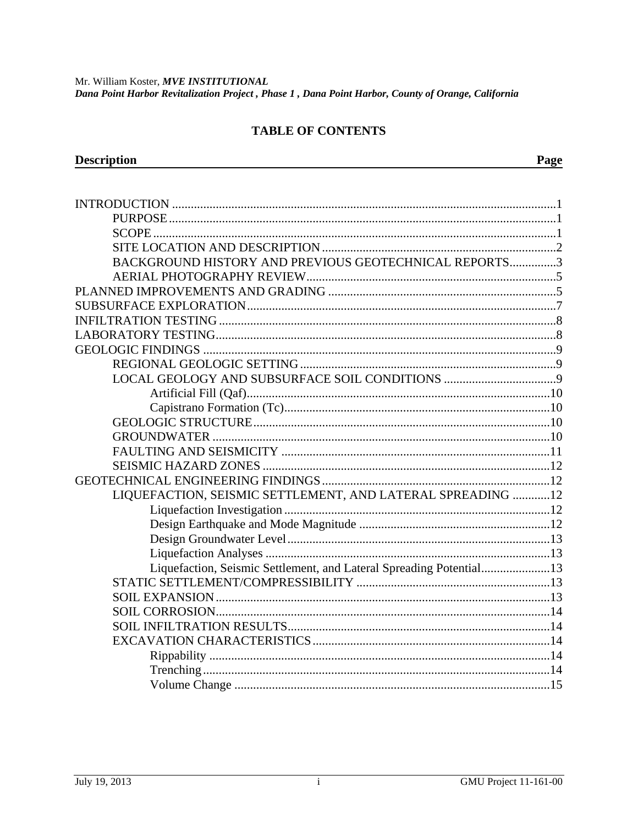#### **TABLE OF CONTENTS**

| BACKGROUND HISTORY AND PREVIOUS GEOTECHNICAL REPORTS3               |  |
|---------------------------------------------------------------------|--|
|                                                                     |  |
|                                                                     |  |
|                                                                     |  |
|                                                                     |  |
|                                                                     |  |
|                                                                     |  |
|                                                                     |  |
|                                                                     |  |
|                                                                     |  |
|                                                                     |  |
|                                                                     |  |
|                                                                     |  |
|                                                                     |  |
|                                                                     |  |
|                                                                     |  |
| LIQUEFACTION, SEISMIC SETTLEMENT, AND LATERAL SPREADING 12          |  |
|                                                                     |  |
|                                                                     |  |
|                                                                     |  |
|                                                                     |  |
| Liquefaction, Seismic Settlement, and Lateral Spreading Potential13 |  |
|                                                                     |  |
|                                                                     |  |
|                                                                     |  |
|                                                                     |  |
|                                                                     |  |
|                                                                     |  |
|                                                                     |  |
| Volume Change<br>$\sim$ 15                                          |  |

**Description** 

Page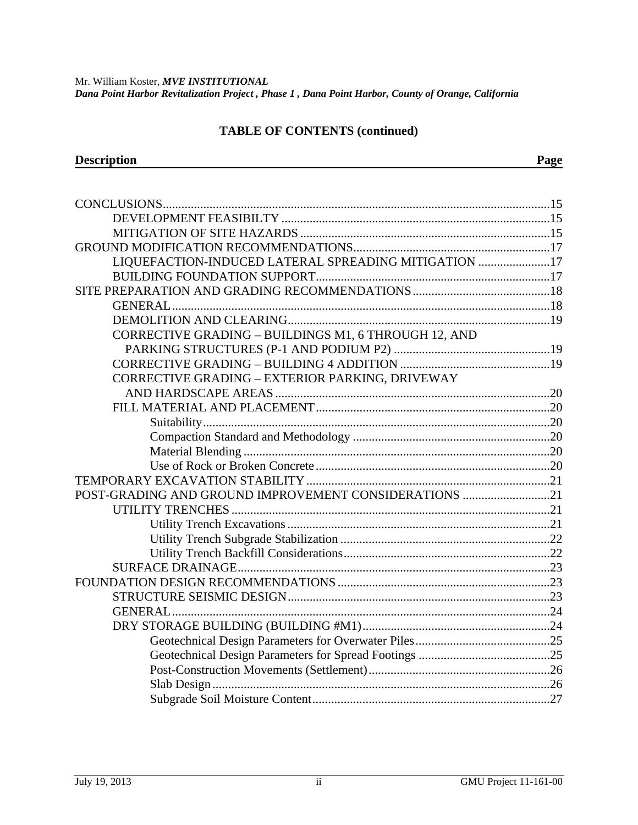## **TABLE OF CONTENTS (continued)**

**Description** Page

| LIQUEFACTION-INDUCED LATERAL SPREADING MITIGATION 17  |  |
|-------------------------------------------------------|--|
|                                                       |  |
|                                                       |  |
|                                                       |  |
|                                                       |  |
| CORRECTIVE GRADING - BUILDINGS M1, 6 THROUGH 12, AND  |  |
|                                                       |  |
|                                                       |  |
| CORRECTIVE GRADING - EXTERIOR PARKING, DRIVEWAY       |  |
|                                                       |  |
|                                                       |  |
|                                                       |  |
|                                                       |  |
|                                                       |  |
|                                                       |  |
|                                                       |  |
| POST-GRADING AND GROUND IMPROVEMENT CONSIDERATIONS 21 |  |
|                                                       |  |
|                                                       |  |
|                                                       |  |
|                                                       |  |
|                                                       |  |
|                                                       |  |
|                                                       |  |
|                                                       |  |
|                                                       |  |
|                                                       |  |
|                                                       |  |
|                                                       |  |
|                                                       |  |
|                                                       |  |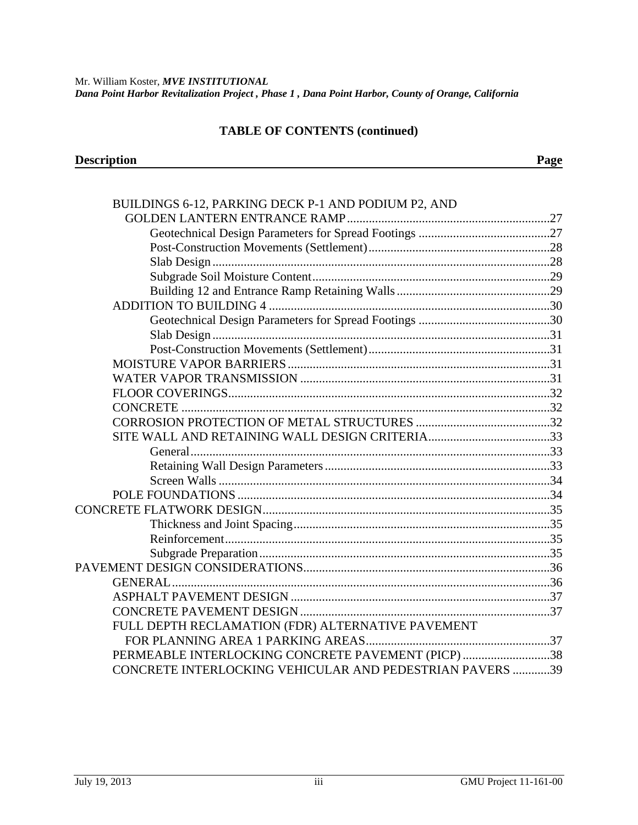#### **TABLE OF CONTENTS (continued)**

| <b>Description</b> | ''age |
|--------------------|-------|
|                    |       |

| BUILDINGS 6-12, PARKING DECK P-1 AND PODIUM P2, AND      |  |
|----------------------------------------------------------|--|
|                                                          |  |
|                                                          |  |
|                                                          |  |
|                                                          |  |
|                                                          |  |
|                                                          |  |
|                                                          |  |
|                                                          |  |
|                                                          |  |
|                                                          |  |
|                                                          |  |
|                                                          |  |
|                                                          |  |
|                                                          |  |
|                                                          |  |
|                                                          |  |
|                                                          |  |
|                                                          |  |
|                                                          |  |
|                                                          |  |
|                                                          |  |
|                                                          |  |
|                                                          |  |
|                                                          |  |
|                                                          |  |
| <b>GENERAL</b>                                           |  |
|                                                          |  |
|                                                          |  |
| FULL DEPTH RECLAMATION (FDR) ALTERNATIVE PAVEMENT        |  |
|                                                          |  |
| PERMEABLE INTERLOCKING CONCRETE PAVEMENT (PICP) 38       |  |
| CONCRETE INTERLOCKING VEHICULAR AND PEDESTRIAN PAVERS 39 |  |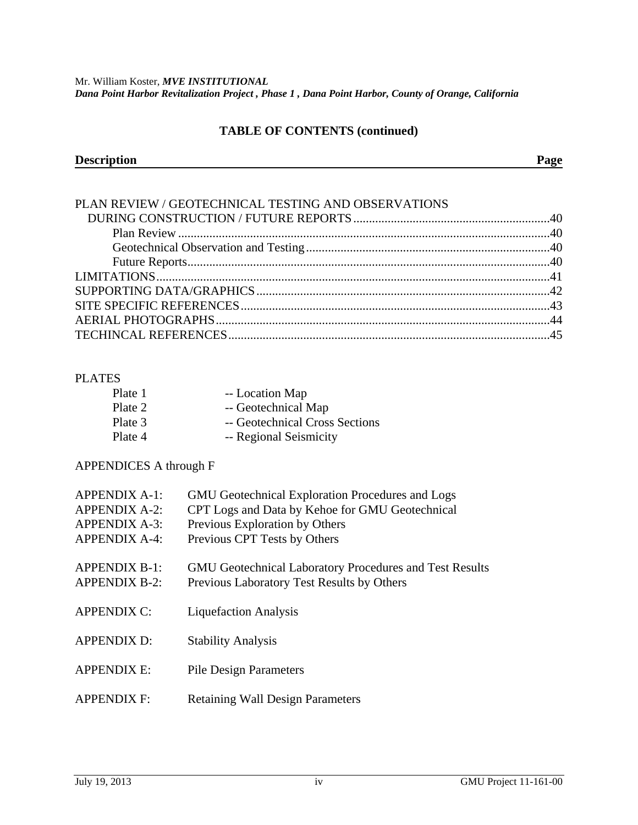#### **TABLE OF CONTENTS (continued)**

| <b>Description</b> | $\sim$ |
|--------------------|--------|
|                    |        |

| PLAN REVIEW / GEOTECHNICAL TESTING AND OBSERVATIONS |  |
|-----------------------------------------------------|--|
|                                                     |  |
|                                                     |  |
|                                                     |  |
|                                                     |  |
|                                                     |  |
|                                                     |  |
|                                                     |  |
|                                                     |  |
|                                                     |  |

### PLATES

| Plate 1 | -- Location Map                |
|---------|--------------------------------|
| Plate 2 | -- Geotechnical Map            |
| Plate 3 | -- Geotechnical Cross Sections |
| Plate 4 | -- Regional Seismicity         |

# APPENDICES A through F

| APPENDIX A-1:<br><b>APPENDIX A-2:</b><br><b>APPENDIX A-3:</b><br><b>APPENDIX A-4:</b> | <b>GMU</b> Geotechnical Exploration Procedures and Logs<br>CPT Logs and Data by Kehoe for GMU Geotechnical<br>Previous Exploration by Others<br>Previous CPT Tests by Others |
|---------------------------------------------------------------------------------------|------------------------------------------------------------------------------------------------------------------------------------------------------------------------------|
| <b>APPENDIX B-1:</b><br><b>APPENDIX B-2:</b>                                          | <b>GMU</b> Geotechnical Laboratory Procedures and Test Results<br>Previous Laboratory Test Results by Others                                                                 |
| <b>APPENDIX C:</b>                                                                    | <b>Liquefaction Analysis</b>                                                                                                                                                 |
| <b>APPENDIX D:</b>                                                                    | <b>Stability Analysis</b>                                                                                                                                                    |
| <b>APPENDIX E:</b>                                                                    | <b>Pile Design Parameters</b>                                                                                                                                                |
| <b>APPENDIX F:</b>                                                                    | <b>Retaining Wall Design Parameters</b>                                                                                                                                      |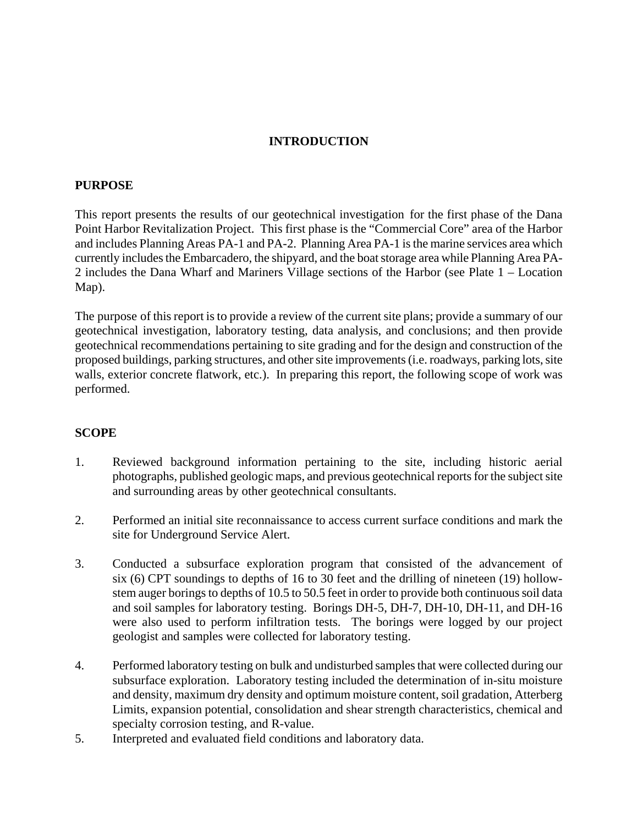### **INTRODUCTION**

#### **PURPOSE**

This report presents the results of our geotechnical investigation for the first phase of the Dana Point Harbor Revitalization Project. This first phase is the "Commercial Core" area of the Harbor and includes Planning Areas PA-1 and PA-2. Planning Area PA-1 is the marine services area which currently includes the Embarcadero, the shipyard, and the boat storage area while Planning Area PA-2 includes the Dana Wharf and Mariners Village sections of the Harbor (see Plate 1 – Location Map).

The purpose of this report is to provide a review of the current site plans; provide a summary of our geotechnical investigation, laboratory testing, data analysis, and conclusions; and then provide geotechnical recommendations pertaining to site grading and for the design and construction of the proposed buildings, parking structures, and other site improvements (i.e. roadways, parking lots, site walls, exterior concrete flatwork, etc.). In preparing this report, the following scope of work was performed.

#### **SCOPE**

- 1. Reviewed background information pertaining to the site, including historic aerial photographs, published geologic maps, and previous geotechnical reports for the subject site and surrounding areas by other geotechnical consultants.
- 2. Performed an initial site reconnaissance to access current surface conditions and mark the site for Underground Service Alert.
- 3. Conducted a subsurface exploration program that consisted of the advancement of six (6) CPT soundings to depths of 16 to 30 feet and the drilling of nineteen (19) hollowstem auger borings to depths of 10.5 to 50.5 feet in order to provide both continuous soil data and soil samples for laboratory testing. Borings DH-5, DH-7, DH-10, DH-11, and DH-16 were also used to perform infiltration tests. The borings were logged by our project geologist and samples were collected for laboratory testing.
- 4. Performed laboratory testing on bulk and undisturbed samples that were collected during our subsurface exploration. Laboratory testing included the determination of in-situ moisture and density, maximum dry density and optimum moisture content, soil gradation, Atterberg Limits, expansion potential, consolidation and shear strength characteristics, chemical and specialty corrosion testing, and R-value.
- 5. Interpreted and evaluated field conditions and laboratory data.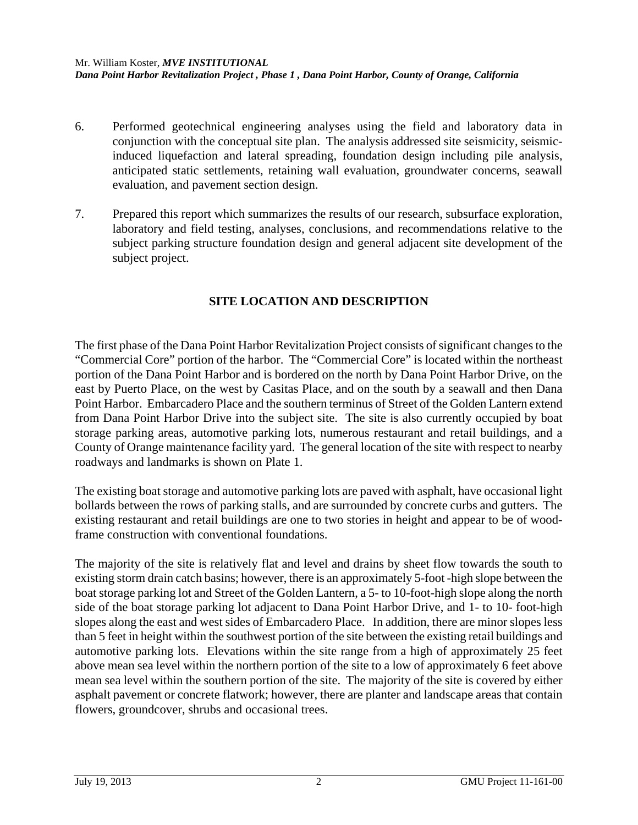- 6. Performed geotechnical engineering analyses using the field and laboratory data in conjunction with the conceptual site plan. The analysis addressed site seismicity, seismicinduced liquefaction and lateral spreading, foundation design including pile analysis, anticipated static settlements, retaining wall evaluation, groundwater concerns, seawall evaluation, and pavement section design.
- 7. Prepared this report which summarizes the results of our research, subsurface exploration, laboratory and field testing, analyses, conclusions, and recommendations relative to the subject parking structure foundation design and general adjacent site development of the subject project.

## **SITE LOCATION AND DESCRIPTION**

The first phase of the Dana Point Harbor Revitalization Project consists of significant changes to the "Commercial Core" portion of the harbor. The "Commercial Core" is located within the northeast portion of the Dana Point Harbor and is bordered on the north by Dana Point Harbor Drive, on the east by Puerto Place, on the west by Casitas Place, and on the south by a seawall and then Dana Point Harbor. Embarcadero Place and the southern terminus of Street of the Golden Lantern extend from Dana Point Harbor Drive into the subject site. The site is also currently occupied by boat storage parking areas, automotive parking lots, numerous restaurant and retail buildings, and a County of Orange maintenance facility yard. The general location of the site with respect to nearby roadways and landmarks is shown on Plate 1.

The existing boat storage and automotive parking lots are paved with asphalt, have occasional light bollards between the rows of parking stalls, and are surrounded by concrete curbs and gutters. The existing restaurant and retail buildings are one to two stories in height and appear to be of woodframe construction with conventional foundations.

The majority of the site is relatively flat and level and drains by sheet flow towards the south to existing storm drain catch basins; however, there is an approximately 5-foot -high slope between the boat storage parking lot and Street of the Golden Lantern, a 5- to 10-foot-high slope along the north side of the boat storage parking lot adjacent to Dana Point Harbor Drive, and 1- to 10- foot-high slopes along the east and west sides of Embarcadero Place. In addition, there are minor slopes less than 5 feet in height within the southwest portion of the site between the existing retail buildings and automotive parking lots. Elevations within the site range from a high of approximately 25 feet above mean sea level within the northern portion of the site to a low of approximately 6 feet above mean sea level within the southern portion of the site. The majority of the site is covered by either asphalt pavement or concrete flatwork; however, there are planter and landscape areas that contain flowers, groundcover, shrubs and occasional trees.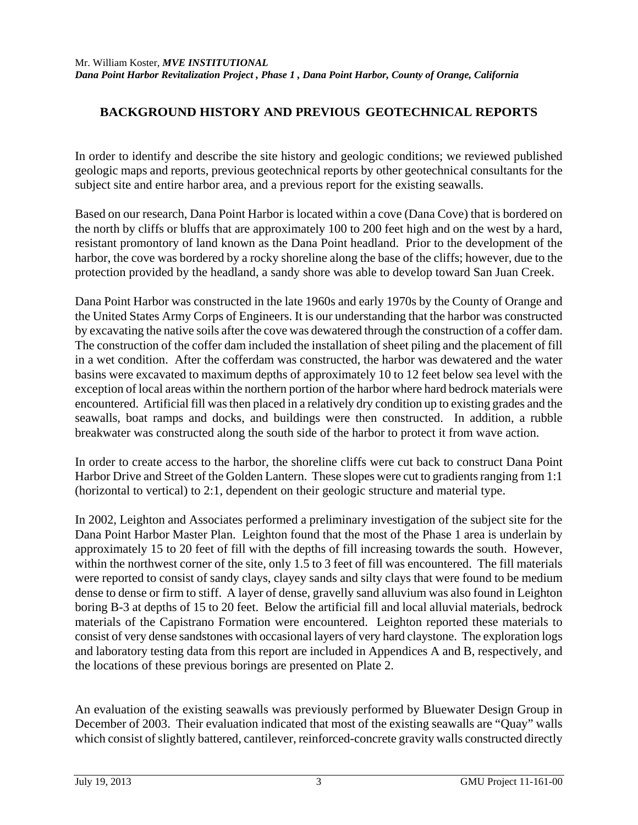## **BACKGROUND HISTORY AND PREVIOUS GEOTECHNICAL REPORTS**

In order to identify and describe the site history and geologic conditions; we reviewed published geologic maps and reports, previous geotechnical reports by other geotechnical consultants for the subject site and entire harbor area, and a previous report for the existing seawalls.

Based on our research, Dana Point Harbor is located within a cove (Dana Cove) that is bordered on the north by cliffs or bluffs that are approximately 100 to 200 feet high and on the west by a hard, resistant promontory of land known as the Dana Point headland. Prior to the development of the harbor, the cove was bordered by a rocky shoreline along the base of the cliffs; however, due to the protection provided by the headland, a sandy shore was able to develop toward San Juan Creek.

Dana Point Harbor was constructed in the late 1960s and early 1970s by the County of Orange and the United States Army Corps of Engineers. It is our understanding that the harbor was constructed by excavating the native soils after the cove was dewatered through the construction of a coffer dam. The construction of the coffer dam included the installation of sheet piling and the placement of fill in a wet condition. After the cofferdam was constructed, the harbor was dewatered and the water basins were excavated to maximum depths of approximately 10 to 12 feet below sea level with the exception of local areas within the northern portion of the harbor where hard bedrock materials were encountered. Artificial fill was then placed in a relatively dry condition up to existing grades and the seawalls, boat ramps and docks, and buildings were then constructed. In addition, a rubble breakwater was constructed along the south side of the harbor to protect it from wave action.

In order to create access to the harbor, the shoreline cliffs were cut back to construct Dana Point Harbor Drive and Street of the Golden Lantern. These slopes were cut to gradients ranging from 1:1 (horizontal to vertical) to 2:1, dependent on their geologic structure and material type.

In 2002, Leighton and Associates performed a preliminary investigation of the subject site for the Dana Point Harbor Master Plan. Leighton found that the most of the Phase 1 area is underlain by approximately 15 to 20 feet of fill with the depths of fill increasing towards the south. However, within the northwest corner of the site, only 1.5 to 3 feet of fill was encountered. The fill materials were reported to consist of sandy clays, clayey sands and silty clays that were found to be medium dense to dense or firm to stiff. A layer of dense, gravelly sand alluvium was also found in Leighton boring B-3 at depths of 15 to 20 feet. Below the artificial fill and local alluvial materials, bedrock materials of the Capistrano Formation were encountered. Leighton reported these materials to consist of very dense sandstones with occasional layers of very hard claystone. The exploration logs and laboratory testing data from this report are included in Appendices A and B, respectively, and the locations of these previous borings are presented on Plate 2.

An evaluation of the existing seawalls was previously performed by Bluewater Design Group in December of 2003. Their evaluation indicated that most of the existing seawalls are "Quay" walls which consist of slightly battered, cantilever, reinforced-concrete gravity walls constructed directly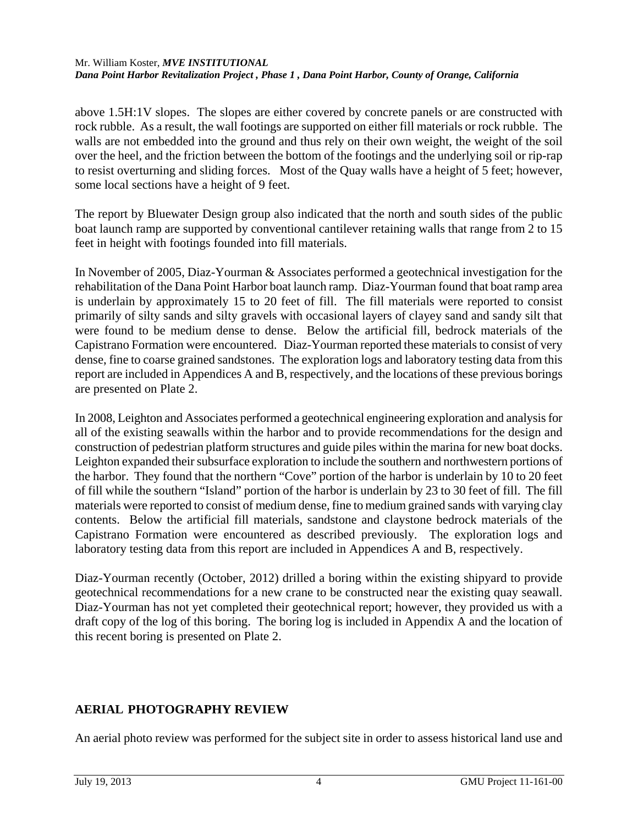above 1.5H:1V slopes. The slopes are either covered by concrete panels or are constructed with rock rubble. As a result, the wall footings are supported on either fill materials or rock rubble. The walls are not embedded into the ground and thus rely on their own weight, the weight of the soil over the heel, and the friction between the bottom of the footings and the underlying soil or rip-rap to resist overturning and sliding forces. Most of the Quay walls have a height of 5 feet; however, some local sections have a height of 9 feet.

The report by Bluewater Design group also indicated that the north and south sides of the public boat launch ramp are supported by conventional cantilever retaining walls that range from 2 to 15 feet in height with footings founded into fill materials.

In November of 2005, Diaz-Yourman & Associates performed a geotechnical investigation for the rehabilitation of the Dana Point Harbor boat launch ramp. Diaz-Yourman found that boat ramp area is underlain by approximately 15 to 20 feet of fill. The fill materials were reported to consist primarily of silty sands and silty gravels with occasional layers of clayey sand and sandy silt that were found to be medium dense to dense. Below the artificial fill, bedrock materials of the Capistrano Formation were encountered. Diaz-Yourman reported these materials to consist of very dense, fine to coarse grained sandstones. The exploration logs and laboratory testing data from this report are included in Appendices A and B, respectively, and the locations of these previous borings are presented on Plate 2.

In 2008, Leighton and Associates performed a geotechnical engineering exploration and analysis for all of the existing seawalls within the harbor and to provide recommendations for the design and construction of pedestrian platform structures and guide piles within the marina for new boat docks. Leighton expanded their subsurface exploration to include the southern and northwestern portions of the harbor. They found that the northern "Cove" portion of the harbor is underlain by 10 to 20 feet of fill while the southern "Island" portion of the harbor is underlain by 23 to 30 feet of fill. The fill materials were reported to consist of medium dense, fine to medium grained sands with varying clay contents. Below the artificial fill materials, sandstone and claystone bedrock materials of the Capistrano Formation were encountered as described previously. The exploration logs and laboratory testing data from this report are included in Appendices A and B, respectively.

Diaz-Yourman recently (October, 2012) drilled a boring within the existing shipyard to provide geotechnical recommendations for a new crane to be constructed near the existing quay seawall. Diaz-Yourman has not yet completed their geotechnical report; however, they provided us with a draft copy of the log of this boring. The boring log is included in Appendix A and the location of this recent boring is presented on Plate 2.

# **AERIAL PHOTOGRAPHY REVIEW**

An aerial photo review was performed for the subject site in order to assess historical land use and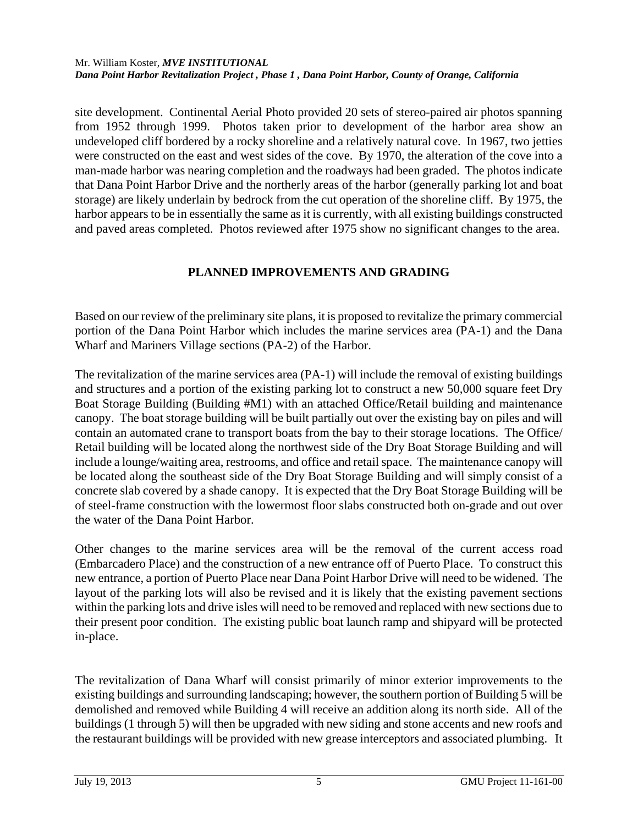site development. Continental Aerial Photo provided 20 sets of stereo-paired air photos spanning from 1952 through 1999. Photos taken prior to development of the harbor area show an undeveloped cliff bordered by a rocky shoreline and a relatively natural cove. In 1967, two jetties were constructed on the east and west sides of the cove. By 1970, the alteration of the cove into a man-made harbor was nearing completion and the roadways had been graded. The photos indicate that Dana Point Harbor Drive and the northerly areas of the harbor (generally parking lot and boat storage) are likely underlain by bedrock from the cut operation of the shoreline cliff. By 1975, the harbor appears to be in essentially the same as it is currently, with all existing buildings constructed and paved areas completed. Photos reviewed after 1975 show no significant changes to the area.

## **PLANNED IMPROVEMENTS AND GRADING**

Based on our review of the preliminary site plans, it is proposed to revitalize the primary commercial portion of the Dana Point Harbor which includes the marine services area (PA-1) and the Dana Wharf and Mariners Village sections (PA-2) of the Harbor.

The revitalization of the marine services area (PA-1) will include the removal of existing buildings and structures and a portion of the existing parking lot to construct a new 50,000 square feet Dry Boat Storage Building (Building #M1) with an attached Office/Retail building and maintenance canopy. The boat storage building will be built partially out over the existing bay on piles and will contain an automated crane to transport boats from the bay to their storage locations. The Office/ Retail building will be located along the northwest side of the Dry Boat Storage Building and will include a lounge/waiting area, restrooms, and office and retail space. The maintenance canopy will be located along the southeast side of the Dry Boat Storage Building and will simply consist of a concrete slab covered by a shade canopy. It is expected that the Dry Boat Storage Building will be of steel-frame construction with the lowermost floor slabs constructed both on-grade and out over the water of the Dana Point Harbor.

Other changes to the marine services area will be the removal of the current access road (Embarcadero Place) and the construction of a new entrance off of Puerto Place. To construct this new entrance, a portion of Puerto Place near Dana Point Harbor Drive will need to be widened. The layout of the parking lots will also be revised and it is likely that the existing pavement sections within the parking lots and drive isles will need to be removed and replaced with new sections due to their present poor condition. The existing public boat launch ramp and shipyard will be protected in-place.

The revitalization of Dana Wharf will consist primarily of minor exterior improvements to the existing buildings and surrounding landscaping; however, the southern portion of Building 5 will be demolished and removed while Building 4 will receive an addition along its north side. All of the buildings (1 through 5) will then be upgraded with new siding and stone accents and new roofs and the restaurant buildings will be provided with new grease interceptors and associated plumbing. It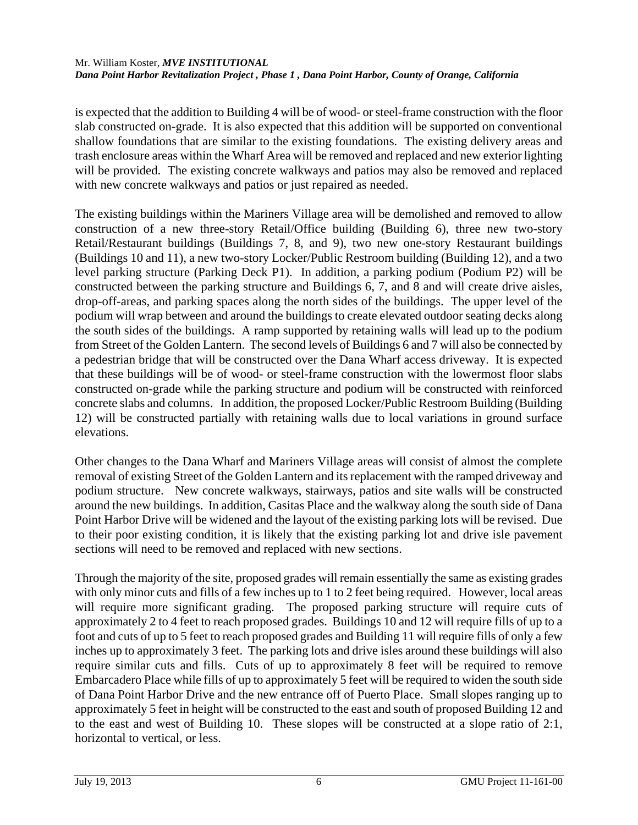is expected that the addition to Building 4 will be of wood- or steel-frame construction with the floor slab constructed on-grade. It is also expected that this addition will be supported on conventional shallow foundations that are similar to the existing foundations. The existing delivery areas and trash enclosure areas within the Wharf Area will be removed and replaced and new exterior lighting will be provided. The existing concrete walkways and patios may also be removed and replaced with new concrete walkways and patios or just repaired as needed.

The existing buildings within the Mariners Village area will be demolished and removed to allow construction of a new three-story Retail/Office building (Building 6), three new two-story Retail/Restaurant buildings (Buildings 7, 8, and 9), two new one-story Restaurant buildings (Buildings 10 and 11), a new two-story Locker/Public Restroom building (Building 12), and a two level parking structure (Parking Deck P1). In addition, a parking podium (Podium P2) will be constructed between the parking structure and Buildings 6, 7, and 8 and will create drive aisles, drop-off-areas, and parking spaces along the north sides of the buildings. The upper level of the podium will wrap between and around the buildings to create elevated outdoor seating decks along the south sides of the buildings. A ramp supported by retaining walls will lead up to the podium from Street of the Golden Lantern. The second levels of Buildings 6 and 7 will also be connected by a pedestrian bridge that will be constructed over the Dana Wharf access driveway. It is expected that these buildings will be of wood- or steel-frame construction with the lowermost floor slabs constructed on-grade while the parking structure and podium will be constructed with reinforced concrete slabs and columns. In addition, the proposed Locker/Public Restroom Building (Building 12) will be constructed partially with retaining walls due to local variations in ground surface elevations.

Other changes to the Dana Wharf and Mariners Village areas will consist of almost the complete removal of existing Street of the Golden Lantern and its replacement with the ramped driveway and podium structure. New concrete walkways, stairways, patios and site walls will be constructed around the new buildings. In addition, Casitas Place and the walkway along the south side of Dana Point Harbor Drive will be widened and the layout of the existing parking lots will be revised. Due to their poor existing condition, it is likely that the existing parking lot and drive isle pavement sections will need to be removed and replaced with new sections.

Through the majority of the site, proposed grades will remain essentially the same as existing grades with only minor cuts and fills of a few inches up to 1 to 2 feet being required. However, local areas will require more significant grading. The proposed parking structure will require cuts of approximately 2 to 4 feet to reach proposed grades. Buildings 10 and 12 will require fills of up to a foot and cuts of up to 5 feet to reach proposed grades and Building 11 will require fills of only a few inches up to approximately 3 feet. The parking lots and drive isles around these buildings will also require similar cuts and fills. Cuts of up to approximately 8 feet will be required to remove Embarcadero Place while fills of up to approximately 5 feet will be required to widen the south side of Dana Point Harbor Drive and the new entrance off of Puerto Place. Small slopes ranging up to approximately 5 feet in height will be constructed to the east and south of proposed Building 12 and to the east and west of Building 10. These slopes will be constructed at a slope ratio of 2:1, horizontal to vertical, or less.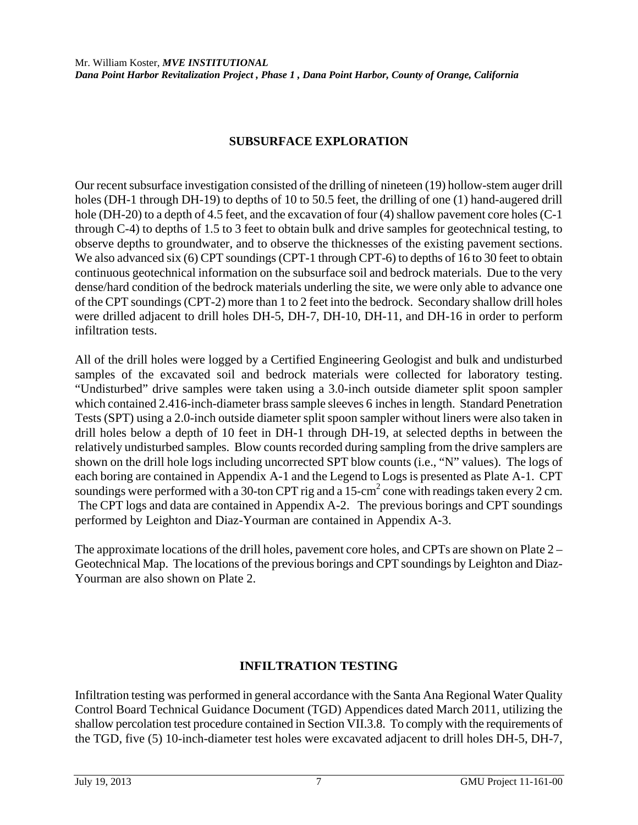## **SUBSURFACE EXPLORATION**

Our recent subsurface investigation consisted of the drilling of nineteen (19) hollow-stem auger drill holes (DH-1 through DH-19) to depths of 10 to 50.5 feet, the drilling of one (1) hand-augered drill hole (DH-20) to a depth of 4.5 feet, and the excavation of four (4) shallow pavement core holes (C-1) through C-4) to depths of 1.5 to 3 feet to obtain bulk and drive samples for geotechnical testing, to observe depths to groundwater, and to observe the thicknesses of the existing pavement sections. We also advanced six (6) CPT soundings (CPT-1 through CPT-6) to depths of 16 to 30 feet to obtain continuous geotechnical information on the subsurface soil and bedrock materials. Due to the very dense/hard condition of the bedrock materials underling the site, we were only able to advance one of the CPT soundings (CPT-2) more than 1 to 2 feet into the bedrock. Secondary shallow drill holes were drilled adjacent to drill holes DH-5, DH-7, DH-10, DH-11, and DH-16 in order to perform infiltration tests.

All of the drill holes were logged by a Certified Engineering Geologist and bulk and undisturbed samples of the excavated soil and bedrock materials were collected for laboratory testing. "Undisturbed" drive samples were taken using a 3.0-inch outside diameter split spoon sampler which contained 2.416-inch-diameter brass sample sleeves 6 inches in length. Standard Penetration Tests (SPT) using a 2.0-inch outside diameter split spoon sampler without liners were also taken in drill holes below a depth of 10 feet in DH-1 through DH-19, at selected depths in between the relatively undisturbed samples. Blow counts recorded during sampling from the drive samplers are shown on the drill hole logs including uncorrected SPT blow counts (i.e., "N" values). The logs of each boring are contained in Appendix A-1 and the Legend to Logs is presented as Plate A-1. CPT soundings were performed with a 30-ton CPT rig and a 15-cm<sup>2</sup> cone with readings taken every 2 cm. The CPT logs and data are contained in Appendix A-2. The previous borings and CPT soundings performed by Leighton and Diaz-Yourman are contained in Appendix A-3.

The approximate locations of the drill holes, pavement core holes, and CPTs are shown on Plate 2 – Geotechnical Map. The locations of the previous borings and CPT soundings by Leighton and Diaz-Yourman are also shown on Plate 2.

### **INFILTRATION TESTING**

Infiltration testing was performed in general accordance with the Santa Ana Regional Water Quality Control Board Technical Guidance Document (TGD) Appendices dated March 2011, utilizing the shallow percolation test procedure contained in Section VII.3.8. To comply with the requirements of the TGD, five (5) 10-inch-diameter test holes were excavated adjacent to drill holes DH-5, DH-7,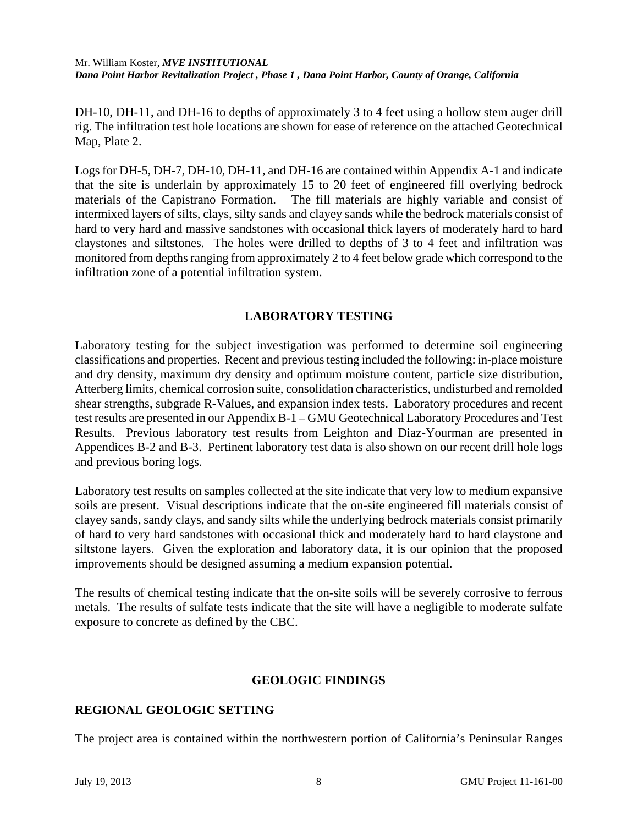DH-10, DH-11, and DH-16 to depths of approximately 3 to 4 feet using a hollow stem auger drill rig. The infiltration test hole locations are shown for ease of reference on the attached Geotechnical Map, Plate 2.

Logs for DH-5, DH-7, DH-10, DH-11, and DH-16 are contained within Appendix A-1 and indicate that the site is underlain by approximately 15 to 20 feet of engineered fill overlying bedrock materials of the Capistrano Formation. The fill materials are highly variable and consist of intermixed layers of silts, clays, silty sands and clayey sands while the bedrock materials consist of hard to very hard and massive sandstones with occasional thick layers of moderately hard to hard claystones and siltstones. The holes were drilled to depths of 3 to 4 feet and infiltration was monitored from depths ranging from approximately 2 to 4 feet below grade which correspond to the infiltration zone of a potential infiltration system.

## **LABORATORY TESTING**

Laboratory testing for the subject investigation was performed to determine soil engineering classifications and properties. Recent and previous testing included the following: in-place moisture and dry density, maximum dry density and optimum moisture content, particle size distribution, Atterberg limits, chemical corrosion suite, consolidation characteristics, undisturbed and remolded shear strengths, subgrade R-Values, and expansion index tests. Laboratory procedures and recent test results are presented in our Appendix B-1 – GMU Geotechnical Laboratory Procedures and Test Results. Previous laboratory test results from Leighton and Diaz-Yourman are presented in Appendices B-2 and B-3. Pertinent laboratory test data is also shown on our recent drill hole logs and previous boring logs.

Laboratory test results on samples collected at the site indicate that very low to medium expansive soils are present. Visual descriptions indicate that the on-site engineered fill materials consist of clayey sands, sandy clays, and sandy silts while the underlying bedrock materials consist primarily of hard to very hard sandstones with occasional thick and moderately hard to hard claystone and siltstone layers. Given the exploration and laboratory data, it is our opinion that the proposed improvements should be designed assuming a medium expansion potential.

The results of chemical testing indicate that the on-site soils will be severely corrosive to ferrous metals. The results of sulfate tests indicate that the site will have a negligible to moderate sulfate exposure to concrete as defined by the CBC.

## **GEOLOGIC FINDINGS**

## **REGIONAL GEOLOGIC SETTING**

The project area is contained within the northwestern portion of California's Peninsular Ranges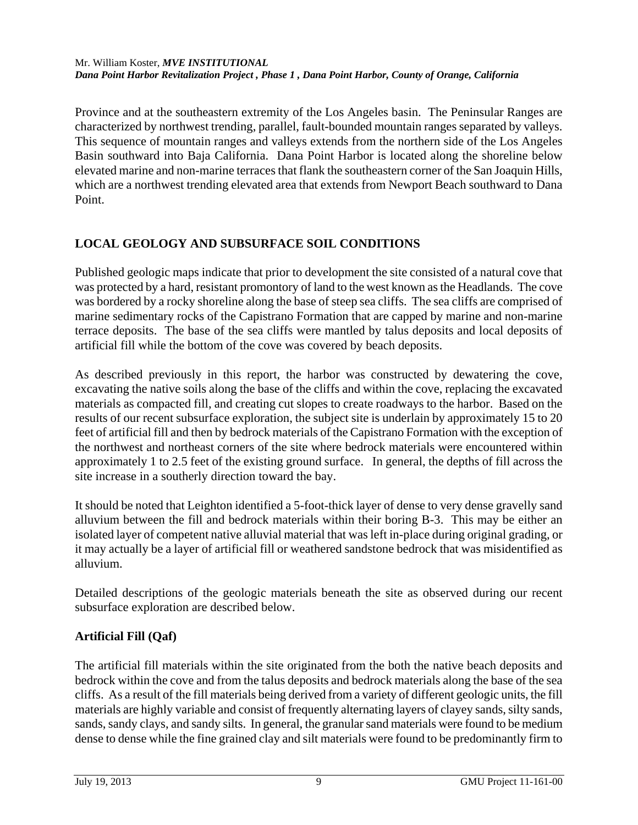Province and at the southeastern extremity of the Los Angeles basin. The Peninsular Ranges are characterized by northwest trending, parallel, fault-bounded mountain ranges separated by valleys. This sequence of mountain ranges and valleys extends from the northern side of the Los Angeles Basin southward into Baja California. Dana Point Harbor is located along the shoreline below elevated marine and non-marine terraces that flank the southeastern corner of the San Joaquin Hills, which are a northwest trending elevated area that extends from Newport Beach southward to Dana Point.

# **LOCAL GEOLOGY AND SUBSURFACE SOIL CONDITIONS**

Published geologic maps indicate that prior to development the site consisted of a natural cove that was protected by a hard, resistant promontory of land to the west known as the Headlands. The cove was bordered by a rocky shoreline along the base of steep sea cliffs. The sea cliffs are comprised of marine sedimentary rocks of the Capistrano Formation that are capped by marine and non-marine terrace deposits. The base of the sea cliffs were mantled by talus deposits and local deposits of artificial fill while the bottom of the cove was covered by beach deposits.

As described previously in this report, the harbor was constructed by dewatering the cove, excavating the native soils along the base of the cliffs and within the cove, replacing the excavated materials as compacted fill, and creating cut slopes to create roadways to the harbor. Based on the results of our recent subsurface exploration, the subject site is underlain by approximately 15 to 20 feet of artificial fill and then by bedrock materials of the Capistrano Formation with the exception of the northwest and northeast corners of the site where bedrock materials were encountered within approximately 1 to 2.5 feet of the existing ground surface. In general, the depths of fill across the site increase in a southerly direction toward the bay.

It should be noted that Leighton identified a 5-foot-thick layer of dense to very dense gravelly sand alluvium between the fill and bedrock materials within their boring B-3. This may be either an isolated layer of competent native alluvial material that was left in-place during original grading, or it may actually be a layer of artificial fill or weathered sandstone bedrock that was misidentified as alluvium.

Detailed descriptions of the geologic materials beneath the site as observed during our recent subsurface exploration are described below.

## **Artificial Fill (Qaf)**

The artificial fill materials within the site originated from the both the native beach deposits and bedrock within the cove and from the talus deposits and bedrock materials along the base of the sea cliffs. As a result of the fill materials being derived from a variety of different geologic units, the fill materials are highly variable and consist of frequently alternating layers of clayey sands, silty sands, sands, sandy clays, and sandy silts. In general, the granular sand materials were found to be medium dense to dense while the fine grained clay and silt materials were found to be predominantly firm to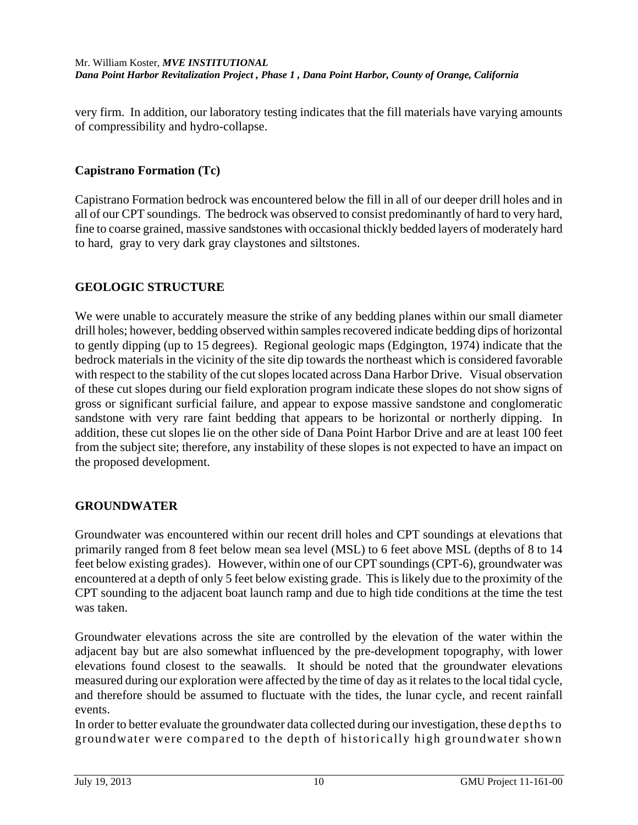very firm. In addition, our laboratory testing indicates that the fill materials have varying amounts of compressibility and hydro-collapse.

## **Capistrano Formation (Tc)**

Capistrano Formation bedrock was encountered below the fill in all of our deeper drill holes and in all of our CPT soundings. The bedrock was observed to consist predominantly of hard to very hard, fine to coarse grained, massive sandstones with occasional thickly bedded layers of moderately hard to hard, gray to very dark gray claystones and siltstones.

## **GEOLOGIC STRUCTURE**

We were unable to accurately measure the strike of any bedding planes within our small diameter drill holes; however, bedding observed within samples recovered indicate bedding dips of horizontal to gently dipping (up to 15 degrees). Regional geologic maps (Edgington, 1974) indicate that the bedrock materials in the vicinity of the site dip towards the northeast which is considered favorable with respect to the stability of the cut slopes located across Dana Harbor Drive. Visual observation of these cut slopes during our field exploration program indicate these slopes do not show signs of gross or significant surficial failure, and appear to expose massive sandstone and conglomeratic sandstone with very rare faint bedding that appears to be horizontal or northerly dipping. In addition, these cut slopes lie on the other side of Dana Point Harbor Drive and are at least 100 feet from the subject site; therefore, any instability of these slopes is not expected to have an impact on the proposed development.

### **GROUNDWATER**

Groundwater was encountered within our recent drill holes and CPT soundings at elevations that primarily ranged from 8 feet below mean sea level (MSL) to 6 feet above MSL (depths of 8 to 14 feet below existing grades). However, within one of our CPT soundings (CPT-6), groundwater was encountered at a depth of only 5 feet below existing grade. This is likely due to the proximity of the CPT sounding to the adjacent boat launch ramp and due to high tide conditions at the time the test was taken.

Groundwater elevations across the site are controlled by the elevation of the water within the adjacent bay but are also somewhat influenced by the pre-development topography, with lower elevations found closest to the seawalls. It should be noted that the groundwater elevations measured during our exploration were affected by the time of day as it relates to the local tidal cycle, and therefore should be assumed to fluctuate with the tides, the lunar cycle, and recent rainfall events.

In order to better evaluate the groundwater data collected during our investigation, these depths to groundwater were compared to the depth of historically high groundwater shown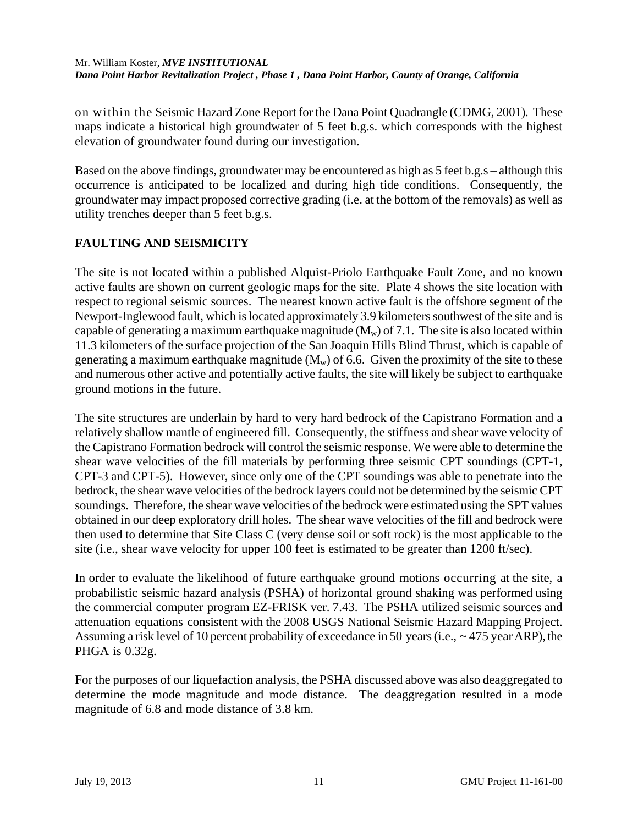on within the Seismic Hazard Zone Report for the Dana Point Quadrangle (CDMG, 2001). These maps indicate a historical high groundwater of 5 feet b.g.s. which corresponds with the highest elevation of groundwater found during our investigation.

Based on the above findings, groundwater may be encountered as high as 5 feet b.g.s – although this occurrence is anticipated to be localized and during high tide conditions. Consequently, the groundwater may impact proposed corrective grading (i.e. at the bottom of the removals) as well as utility trenches deeper than 5 feet b.g.s.

# **FAULTING AND SEISMICITY**

The site is not located within a published Alquist-Priolo Earthquake Fault Zone, and no known active faults are shown on current geologic maps for the site. Plate 4 shows the site location with respect to regional seismic sources. The nearest known active fault is the offshore segment of the Newport-Inglewood fault, which is located approximately 3.9 kilometers southwest of the site and is capable of generating a maximum earthquake magnitude  $(M_w)$  of 7.1. The site is also located within 11.3 kilometers of the surface projection of the San Joaquin Hills Blind Thrust, which is capable of generating a maximum earthquake magnitude  $(M_w)$  of 6.6. Given the proximity of the site to these and numerous other active and potentially active faults, the site will likely be subject to earthquake ground motions in the future.

The site structures are underlain by hard to very hard bedrock of the Capistrano Formation and a relatively shallow mantle of engineered fill. Consequently, the stiffness and shear wave velocity of the Capistrano Formation bedrock will control the seismic response. We were able to determine the shear wave velocities of the fill materials by performing three seismic CPT soundings (CPT-1, CPT-3 and CPT-5). However, since only one of the CPT soundings was able to penetrate into the bedrock, the shear wave velocities of the bedrock layers could not be determined by the seismic CPT soundings. Therefore, the shear wave velocities of the bedrock were estimated using the SPT values obtained in our deep exploratory drill holes. The shear wave velocities of the fill and bedrock were then used to determine that Site Class C (very dense soil or soft rock) is the most applicable to the site (i.e., shear wave velocity for upper 100 feet is estimated to be greater than 1200 ft/sec).

In order to evaluate the likelihood of future earthquake ground motions occurring at the site, a probabilistic seismic hazard analysis (PSHA) of horizontal ground shaking was performed using the commercial computer program EZ-FRISK ver. 7.43. The PSHA utilized seismic sources and attenuation equations consistent with the 2008 USGS National Seismic Hazard Mapping Project. Assuming a risk level of 10 percent probability of exceedance in 50 years (i.e., ~ 475 year ARP), the PHGA is 0.32g.

For the purposes of our liquefaction analysis, the PSHA discussed above was also deaggregated to determine the mode magnitude and mode distance. The deaggregation resulted in a mode magnitude of 6.8 and mode distance of 3.8 km.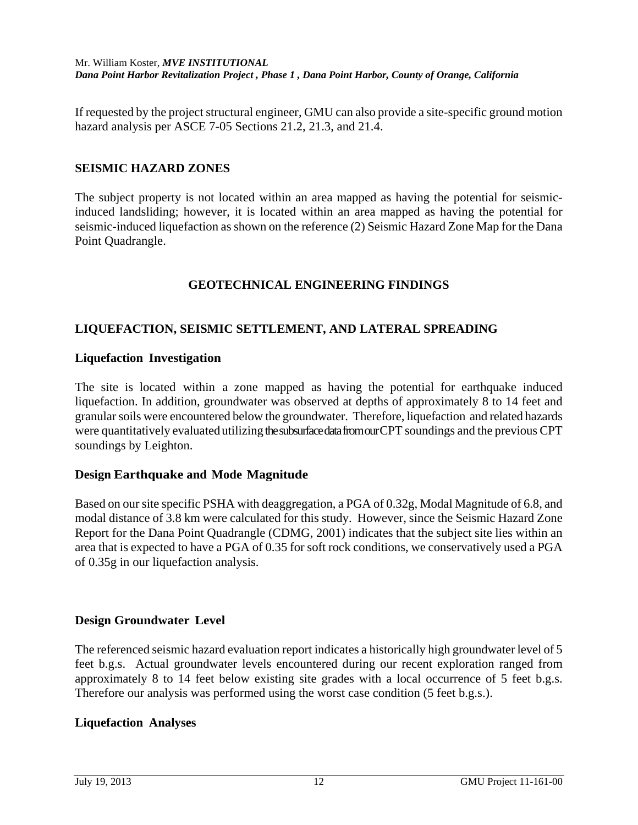If requested by the project structural engineer, GMU can also provide a site-specific ground motion hazard analysis per ASCE 7-05 Sections 21.2, 21.3, and 21.4.

#### **SEISMIC HAZARD ZONES**

The subject property is not located within an area mapped as having the potential for seismicinduced landsliding; however, it is located within an area mapped as having the potential for seismic-induced liquefaction as shown on the reference (2) Seismic Hazard Zone Map for the Dana Point Quadrangle.

### **GEOTECHNICAL ENGINEERING FINDINGS**

### **LIQUEFACTION, SEISMIC SETTLEMENT, AND LATERAL SPREADING**

#### **Liquefaction Investigation**

The site is located within a zone mapped as having the potential for earthquake induced liquefaction. In addition, groundwater was observed at depths of approximately 8 to 14 feet and granular soils were encountered below the groundwater. Therefore, liquefaction and related hazards were quantitatively evaluated utilizing the subsurface data from our CPT soundings and the previous CPT soundings by Leighton.

#### **Design Earthquake and Mode Magnitude**

Based on our site specific PSHA with deaggregation, a PGA of 0.32g, Modal Magnitude of 6.8, and modal distance of 3.8 km were calculated for this study. However, since the Seismic Hazard Zone Report for the Dana Point Quadrangle (CDMG, 2001) indicates that the subject site lies within an area that is expected to have a PGA of 0.35 for soft rock conditions, we conservatively used a PGA of 0.35g in our liquefaction analysis.

#### **Design Groundwater Level**

The referenced seismic hazard evaluation report indicates a historically high groundwater level of 5 feet b.g.s. Actual groundwater levels encountered during our recent exploration ranged from approximately 8 to 14 feet below existing site grades with a local occurrence of 5 feet b.g.s. Therefore our analysis was performed using the worst case condition (5 feet b.g.s.).

#### **Liquefaction Analyses**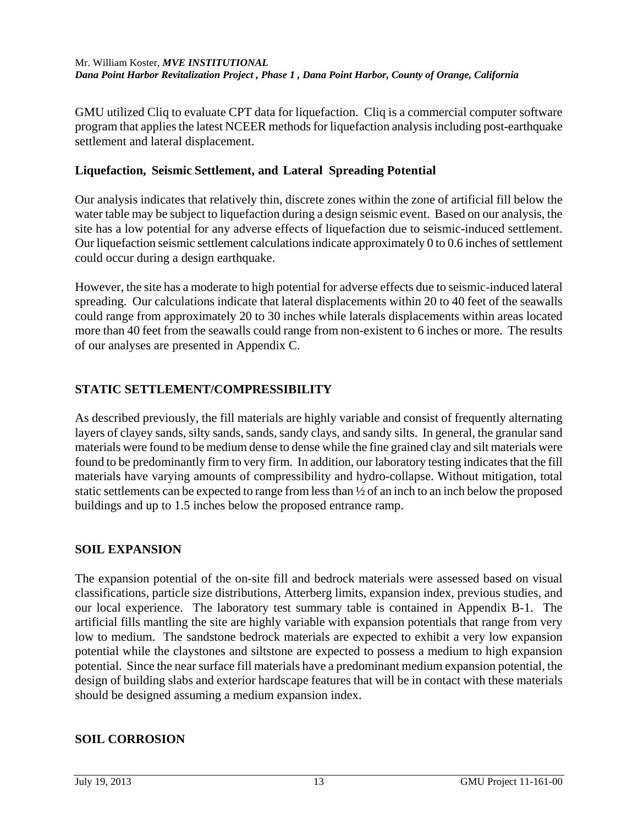GMU utilized Cliq to evaluate CPT data for liquefaction. Cliq is a commercial computer software program that applies the latest NCEER methods for liquefaction analysis including post-earthquake settlement and lateral displacement.

## **Liquefaction, Seismic Settlement, and Lateral Spreading Potential**

Our analysis indicates that relatively thin, discrete zones within the zone of artificial fill below the water table may be subject to liquefaction during a design seismic event. Based on our analysis, the site has a low potential for any adverse effects of liquefaction due to seismic-induced settlement. Our liquefaction seismic settlement calculations indicate approximately 0 to 0.6 inches of settlement could occur during a design earthquake.

However, the site has a moderate to high potential for adverse effects due to seismic-induced lateral spreading. Our calculations indicate that lateral displacements within 20 to 40 feet of the seawalls could range from approximately 20 to 30 inches while laterals displacements within areas located more than 40 feet from the seawalls could range from non-existent to 6 inches or more. The results of our analyses are presented in Appendix C.

# **STATIC SETTLEMENT/COMPRESSIBILITY**

As described previously, the fill materials are highly variable and consist of frequently alternating layers of clayey sands, silty sands, sands, sandy clays, and sandy silts. In general, the granular sand materials were found to be medium dense to dense while the fine grained clay and silt materials were found to be predominantly firm to very firm. In addition, our laboratory testing indicates that the fill materials have varying amounts of compressibility and hydro-collapse. Without mitigation, total static settlements can be expected to range from less than ½ of an inch to an inch below the proposed buildings and up to 1.5 inches below the proposed entrance ramp.

## **SOIL EXPANSION**

The expansion potential of the on-site fill and bedrock materials were assessed based on visual classifications, particle size distributions, Atterberg limits, expansion index, previous studies, and our local experience. The laboratory test summary table is contained in Appendix B-1. The artificial fills mantling the site are highly variable with expansion potentials that range from very low to medium. The sandstone bedrock materials are expected to exhibit a very low expansion potential while the claystones and siltstone are expected to possess a medium to high expansion potential. Since the near surface fill materials have a predominant medium expansion potential, the design of building slabs and exterior hardscape features that will be in contact with these materials should be designed assuming a medium expansion index.

## **SOIL CORROSION**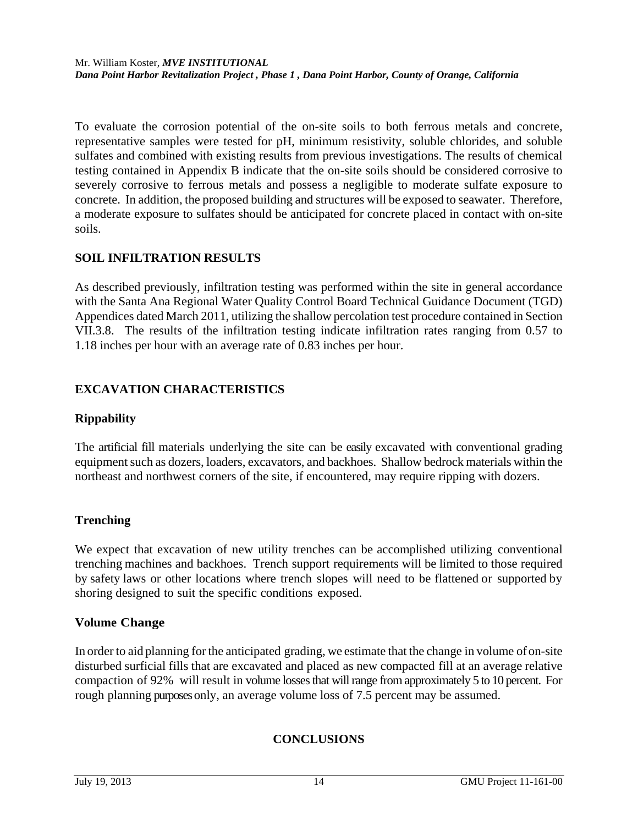To evaluate the corrosion potential of the on-site soils to both ferrous metals and concrete, representative samples were tested for pH, minimum resistivity, soluble chlorides, and soluble sulfates and combined with existing results from previous investigations. The results of chemical testing contained in Appendix B indicate that the on-site soils should be considered corrosive to severely corrosive to ferrous metals and possess a negligible to moderate sulfate exposure to concrete. In addition, the proposed building and structures will be exposed to seawater. Therefore, a moderate exposure to sulfates should be anticipated for concrete placed in contact with on-site soils.

# **SOIL INFILTRATION RESULTS**

As described previously, infiltration testing was performed within the site in general accordance with the Santa Ana Regional Water Quality Control Board Technical Guidance Document (TGD) Appendices dated March 2011, utilizing the shallow percolation test procedure contained in Section VII.3.8. The results of the infiltration testing indicate infiltration rates ranging from 0.57 to 1.18 inches per hour with an average rate of 0.83 inches per hour.

# **EXCAVATION CHARACTERISTICS**

## **Rippability**

The artificial fill materials underlying the site can be easily excavated with conventional grading equipment such as dozers, loaders, excavators, and backhoes. Shallow bedrock materials within the northeast and northwest corners of the site, if encountered, may require ripping with dozers.

## **Trenching**

We expect that excavation of new utility trenches can be accomplished utilizing conventional trenching machines and backhoes. Trench support requirements will be limited to those required by safety laws or other locations where trench slopes will need to be flattened or supported by shoring designed to suit the specific conditions exposed.

## **Volume Change**

In order to aid planning for the anticipated grading, we estimate that the change in volume of on-site disturbed surficial fills that are excavated and placed as new compacted fill at an average relative compaction of 92% will result in volume losses that will range from approximately 5 to 10 percent. For rough planning purposes only, an average volume loss of 7.5 percent may be assumed.

# **CONCLUSIONS**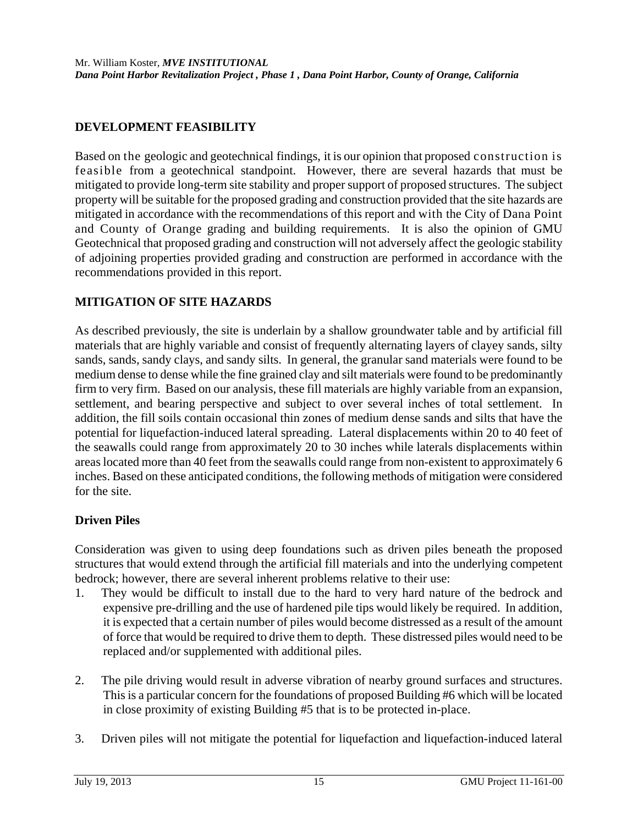## **DEVELOPMENT FEASIBILITY**

Based on the geologic and geotechnical findings, it is our opinion that proposed construction is feasible from a geotechnical standpoint. However, there are several hazards that must be mitigated to provide long-term site stability and proper support of proposed structures. The subject property will be suitable for the proposed grading and construction provided that the site hazards are mitigated in accordance with the recommendations of this report and with the City of Dana Point and County of Orange grading and building requirements. It is also the opinion of GMU Geotechnical that proposed grading and construction will not adversely affect the geologic stability of adjoining properties provided grading and construction are performed in accordance with the recommendations provided in this report.

## **MITIGATION OF SITE HAZARDS**

As described previously, the site is underlain by a shallow groundwater table and by artificial fill materials that are highly variable and consist of frequently alternating layers of clayey sands, silty sands, sands, sandy clays, and sandy silts. In general, the granular sand materials were found to be medium dense to dense while the fine grained clay and silt materials were found to be predominantly firm to very firm. Based on our analysis, these fill materials are highly variable from an expansion, settlement, and bearing perspective and subject to over several inches of total settlement. In addition, the fill soils contain occasional thin zones of medium dense sands and silts that have the potential for liquefaction-induced lateral spreading. Lateral displacements within 20 to 40 feet of the seawalls could range from approximately 20 to 30 inches while laterals displacements within areas located more than 40 feet from the seawalls could range from non-existent to approximately 6 inches. Based on these anticipated conditions, the following methods of mitigation were considered for the site.

### **Driven Piles**

Consideration was given to using deep foundations such as driven piles beneath the proposed structures that would extend through the artificial fill materials and into the underlying competent bedrock; however, there are several inherent problems relative to their use:

- 1. They would be difficult to install due to the hard to very hard nature of the bedrock and expensive pre-drilling and the use of hardened pile tips would likely be required. In addition, it is expected that a certain number of piles would become distressed as a result of the amount of force that would be required to drive them to depth. These distressed piles would need to be replaced and/or supplemented with additional piles.
- 2. The pile driving would result in adverse vibration of nearby ground surfaces and structures. This is a particular concern for the foundations of proposed Building #6 which will be located in close proximity of existing Building #5 that is to be protected in-place.
- 3. Driven piles will not mitigate the potential for liquefaction and liquefaction-induced lateral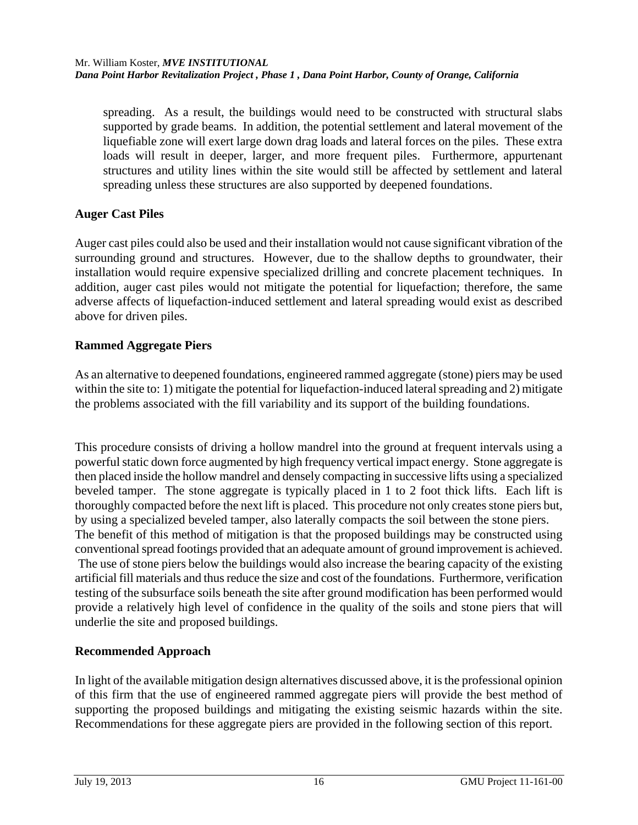spreading. As a result, the buildings would need to be constructed with structural slabs supported by grade beams. In addition, the potential settlement and lateral movement of the liquefiable zone will exert large down drag loads and lateral forces on the piles. These extra loads will result in deeper, larger, and more frequent piles. Furthermore, appurtenant structures and utility lines within the site would still be affected by settlement and lateral spreading unless these structures are also supported by deepened foundations.

## **Auger Cast Piles**

Auger cast piles could also be used and their installation would not cause significant vibration of the surrounding ground and structures. However, due to the shallow depths to groundwater, their installation would require expensive specialized drilling and concrete placement techniques. In addition, auger cast piles would not mitigate the potential for liquefaction; therefore, the same adverse affects of liquefaction-induced settlement and lateral spreading would exist as described above for driven piles.

# **Rammed Aggregate Piers**

As an alternative to deepened foundations, engineered rammed aggregate (stone) piers may be used within the site to: 1) mitigate the potential for liquefaction-induced lateral spreading and 2) mitigate the problems associated with the fill variability and its support of the building foundations.

This procedure consists of driving a hollow mandrel into the ground at frequent intervals using a powerful static down force augmented by high frequency vertical impact energy. Stone aggregate is then placed inside the hollow mandrel and densely compacting in successive lifts using a specialized beveled tamper. The stone aggregate is typically placed in 1 to 2 foot thick lifts. Each lift is thoroughly compacted before the next lift is placed. This procedure not only creates stone piers but, by using a specialized beveled tamper, also laterally compacts the soil between the stone piers. The benefit of this method of mitigation is that the proposed buildings may be constructed using conventional spread footings provided that an adequate amount of ground improvement is achieved. The use of stone piers below the buildings would also increase the bearing capacity of the existing artificial fill materials and thus reduce the size and cost of the foundations. Furthermore, verification testing of the subsurface soils beneath the site after ground modification has been performed would provide a relatively high level of confidence in the quality of the soils and stone piers that will underlie the site and proposed buildings.

# **Recommended Approach**

In light of the available mitigation design alternatives discussed above, it is the professional opinion of this firm that the use of engineered rammed aggregate piers will provide the best method of supporting the proposed buildings and mitigating the existing seismic hazards within the site. Recommendations for these aggregate piers are provided in the following section of this report.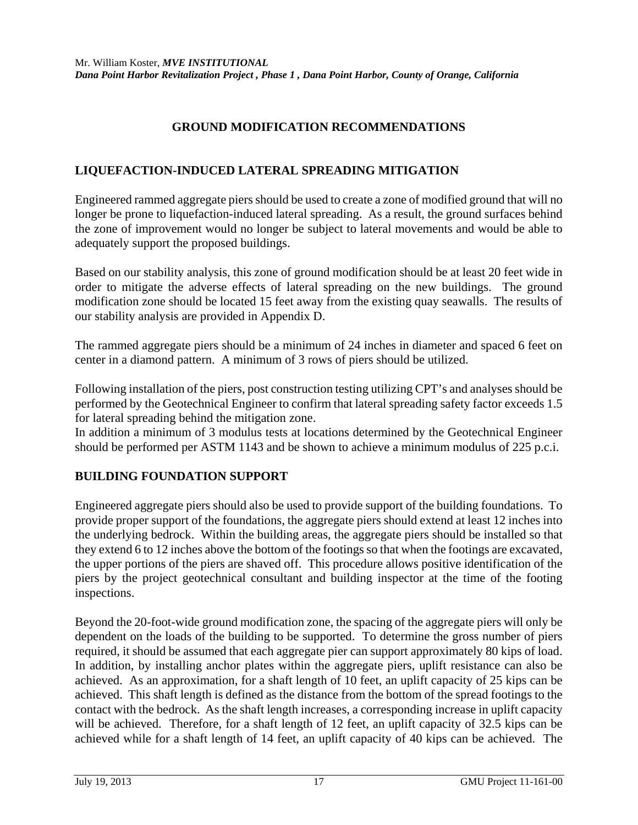## **GROUND MODIFICATION RECOMMENDATIONS**

### **LIQUEFACTION-INDUCED LATERAL SPREADING MITIGATION**

Engineered rammed aggregate piers should be used to create a zone of modified ground that will no longer be prone to liquefaction-induced lateral spreading. As a result, the ground surfaces behind the zone of improvement would no longer be subject to lateral movements and would be able to adequately support the proposed buildings.

Based on our stability analysis, this zone of ground modification should be at least 20 feet wide in order to mitigate the adverse effects of lateral spreading on the new buildings. The ground modification zone should be located 15 feet away from the existing quay seawalls. The results of our stability analysis are provided in Appendix D.

The rammed aggregate piers should be a minimum of 24 inches in diameter and spaced 6 feet on center in a diamond pattern. A minimum of 3 rows of piers should be utilized.

Following installation of the piers, post construction testing utilizing CPT's and analyses should be performed by the Geotechnical Engineer to confirm that lateral spreading safety factor exceeds 1.5 for lateral spreading behind the mitigation zone.

In addition a minimum of 3 modulus tests at locations determined by the Geotechnical Engineer should be performed per ASTM 1143 and be shown to achieve a minimum modulus of 225 p.c.i.

## **BUILDING FOUNDATION SUPPORT**

Engineered aggregate piers should also be used to provide support of the building foundations. To provide proper support of the foundations, the aggregate piers should extend at least 12 inches into the underlying bedrock. Within the building areas, the aggregate piers should be installed so that they extend 6 to 12 inches above the bottom of the footings so that when the footings are excavated, the upper portions of the piers are shaved off. This procedure allows positive identification of the piers by the project geotechnical consultant and building inspector at the time of the footing inspections.

Beyond the 20-foot-wide ground modification zone, the spacing of the aggregate piers will only be dependent on the loads of the building to be supported. To determine the gross number of piers required, it should be assumed that each aggregate pier can support approximately 80 kips of load. In addition, by installing anchor plates within the aggregate piers, uplift resistance can also be achieved. As an approximation, for a shaft length of 10 feet, an uplift capacity of 25 kips can be achieved. This shaft length is defined as the distance from the bottom of the spread footings to the contact with the bedrock. As the shaft length increases, a corresponding increase in uplift capacity will be achieved. Therefore, for a shaft length of 12 feet, an uplift capacity of 32.5 kips can be achieved while for a shaft length of 14 feet, an uplift capacity of 40 kips can be achieved. The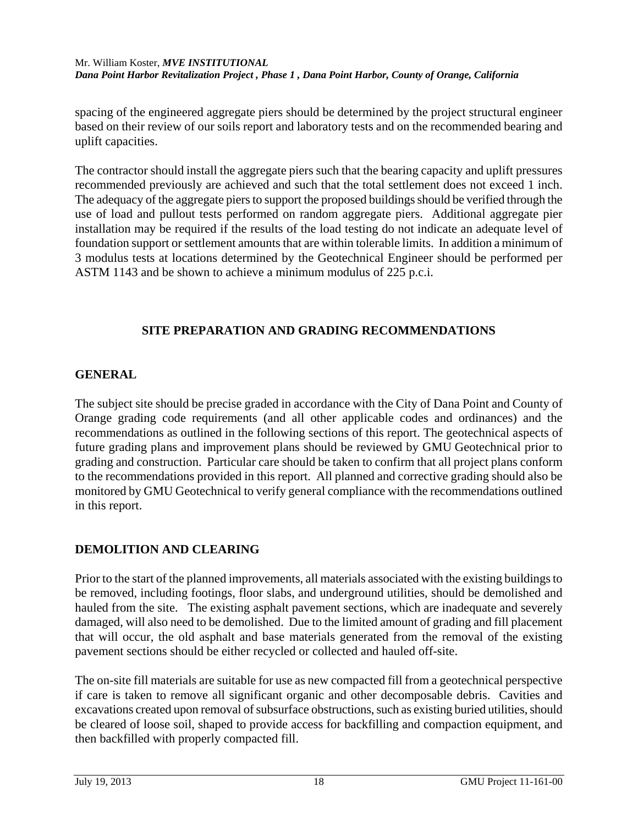spacing of the engineered aggregate piers should be determined by the project structural engineer based on their review of our soils report and laboratory tests and on the recommended bearing and uplift capacities.

The contractor should install the aggregate piers such that the bearing capacity and uplift pressures recommended previously are achieved and such that the total settlement does not exceed 1 inch. The adequacy of the aggregate piers to support the proposed buildings should be verified through the use of load and pullout tests performed on random aggregate piers. Additional aggregate pier installation may be required if the results of the load testing do not indicate an adequate level of foundation support or settlement amounts that are within tolerable limits. In addition a minimum of 3 modulus tests at locations determined by the Geotechnical Engineer should be performed per ASTM 1143 and be shown to achieve a minimum modulus of 225 p.c.i.

## **SITE PREPARATION AND GRADING RECOMMENDATIONS**

## **GENERAL**

The subject site should be precise graded in accordance with the City of Dana Point and County of Orange grading code requirements (and all other applicable codes and ordinances) and the recommendations as outlined in the following sections of this report. The geotechnical aspects of future grading plans and improvement plans should be reviewed by GMU Geotechnical prior to grading and construction. Particular care should be taken to confirm that all project plans conform to the recommendations provided in this report. All planned and corrective grading should also be monitored by GMU Geotechnical to verify general compliance with the recommendations outlined in this report.

## **DEMOLITION AND CLEARING**

Prior to the start of the planned improvements, all materials associated with the existing buildings to be removed, including footings, floor slabs, and underground utilities, should be demolished and hauled from the site. The existing asphalt pavement sections, which are inadequate and severely damaged, will also need to be demolished. Due to the limited amount of grading and fill placement that will occur, the old asphalt and base materials generated from the removal of the existing pavement sections should be either recycled or collected and hauled off-site.

The on-site fill materials are suitable for use as new compacted fill from a geotechnical perspective if care is taken to remove all significant organic and other decomposable debris. Cavities and excavations created upon removal of subsurface obstructions, such as existing buried utilities, should be cleared of loose soil, shaped to provide access for backfilling and compaction equipment, and then backfilled with properly compacted fill.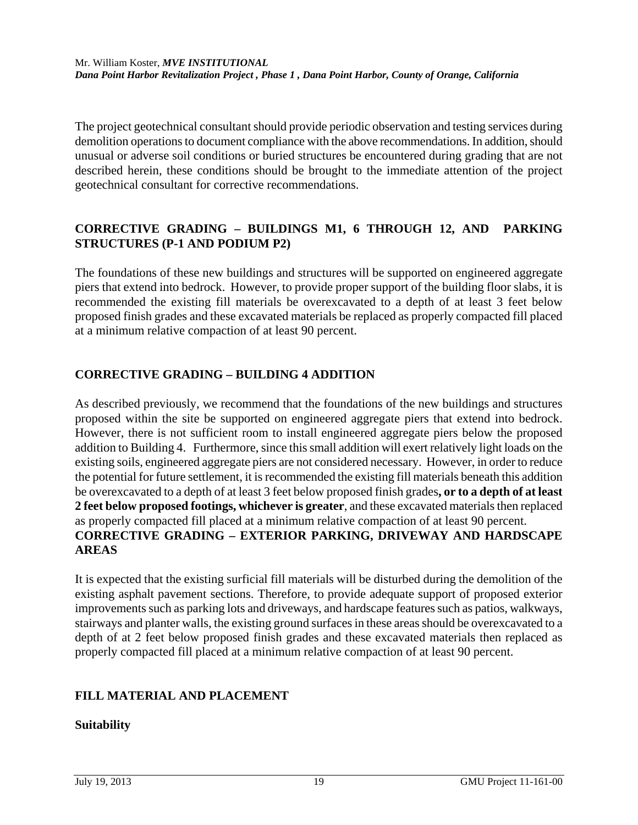The project geotechnical consultant should provide periodic observation and testing services during demolition operations to document compliance with the above recommendations. In addition, should unusual or adverse soil conditions or buried structures be encountered during grading that are not described herein, these conditions should be brought to the immediate attention of the project geotechnical consultant for corrective recommendations.

## **CORRECTIVE GRADING – BUILDINGS M1, 6 THROUGH 12, AND PARKING STRUCTURES (P-1 AND PODIUM P2)**

The foundations of these new buildings and structures will be supported on engineered aggregate piers that extend into bedrock. However, to provide proper support of the building floor slabs, it is recommended the existing fill materials be overexcavated to a depth of at least 3 feet below proposed finish grades and these excavated materials be replaced as properly compacted fill placed at a minimum relative compaction of at least 90 percent.

# **CORRECTIVE GRADING – BUILDING 4 ADDITION**

As described previously, we recommend that the foundations of the new buildings and structures proposed within the site be supported on engineered aggregate piers that extend into bedrock. However, there is not sufficient room to install engineered aggregate piers below the proposed addition to Building 4. Furthermore, since this small addition will exert relatively light loads on the existing soils, engineered aggregate piers are not considered necessary. However, in order to reduce the potential for future settlement, it is recommended the existing fill materials beneath this addition be overexcavated to a depth of at least 3 feet below proposed finish grades**, or to a depth of at least 2 feet below proposed footings, whichever is greater**, and these excavated materials then replaced as properly compacted fill placed at a minimum relative compaction of at least 90 percent. **CORRECTIVE GRADING – EXTERIOR PARKING, DRIVEWAY AND HARDSCAPE AREAS** 

It is expected that the existing surficial fill materials will be disturbed during the demolition of the existing asphalt pavement sections. Therefore, to provide adequate support of proposed exterior improvements such as parking lots and driveways, and hardscape features such as patios, walkways, stairways and planter walls, the existing ground surfaces in these areas should be overexcavated to a depth of at 2 feet below proposed finish grades and these excavated materials then replaced as properly compacted fill placed at a minimum relative compaction of at least 90 percent.

# **FILL MATERIAL AND PLACEMENT**

## **Suitability**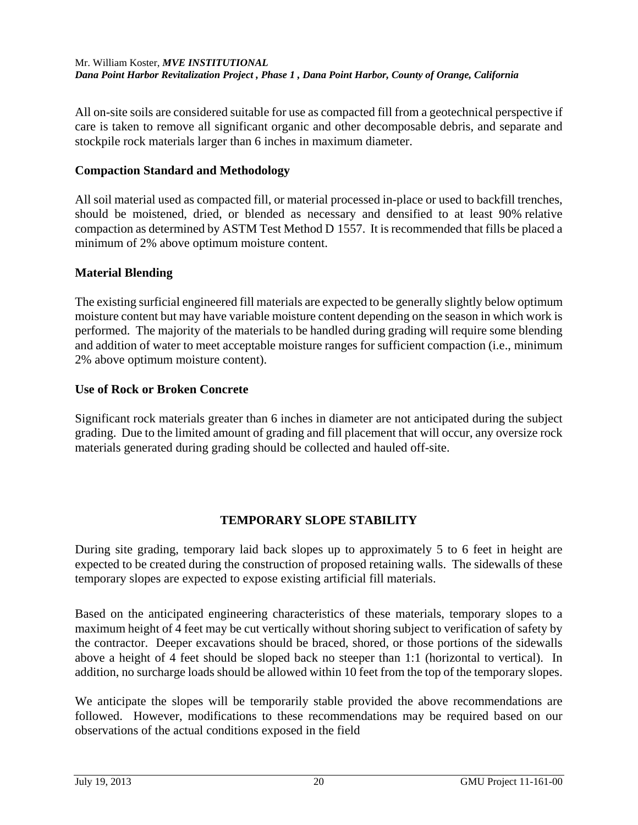All on-site soils are considered suitable for use as compacted fill from a geotechnical perspective if care is taken to remove all significant organic and other decomposable debris, and separate and stockpile rock materials larger than 6 inches in maximum diameter.

### **Compaction Standard and Methodology**

All soil material used as compacted fill, or material processed in-place or used to backfill trenches, should be moistened, dried, or blended as necessary and densified to at least 90% relative compaction as determined by ASTM Test Method D 1557. It is recommended that fills be placed a minimum of 2% above optimum moisture content.

### **Material Blending**

The existing surficial engineered fill materials are expected to be generally slightly below optimum moisture content but may have variable moisture content depending on the season in which work is performed. The majority of the materials to be handled during grading will require some blending and addition of water to meet acceptable moisture ranges for sufficient compaction (i.e., minimum 2% above optimum moisture content).

### **Use of Rock or Broken Concrete**

Significant rock materials greater than 6 inches in diameter are not anticipated during the subject grading. Due to the limited amount of grading and fill placement that will occur, any oversize rock materials generated during grading should be collected and hauled off-site.

## **TEMPORARY SLOPE STABILITY**

During site grading, temporary laid back slopes up to approximately 5 to 6 feet in height are expected to be created during the construction of proposed retaining walls. The sidewalls of these temporary slopes are expected to expose existing artificial fill materials.

Based on the anticipated engineering characteristics of these materials, temporary slopes to a maximum height of 4 feet may be cut vertically without shoring subject to verification of safety by the contractor. Deeper excavations should be braced, shored, or those portions of the sidewalls above a height of 4 feet should be sloped back no steeper than 1:1 (horizontal to vertical). In addition, no surcharge loads should be allowed within 10 feet from the top of the temporary slopes.

We anticipate the slopes will be temporarily stable provided the above recommendations are followed. However, modifications to these recommendations may be required based on our observations of the actual conditions exposed in the field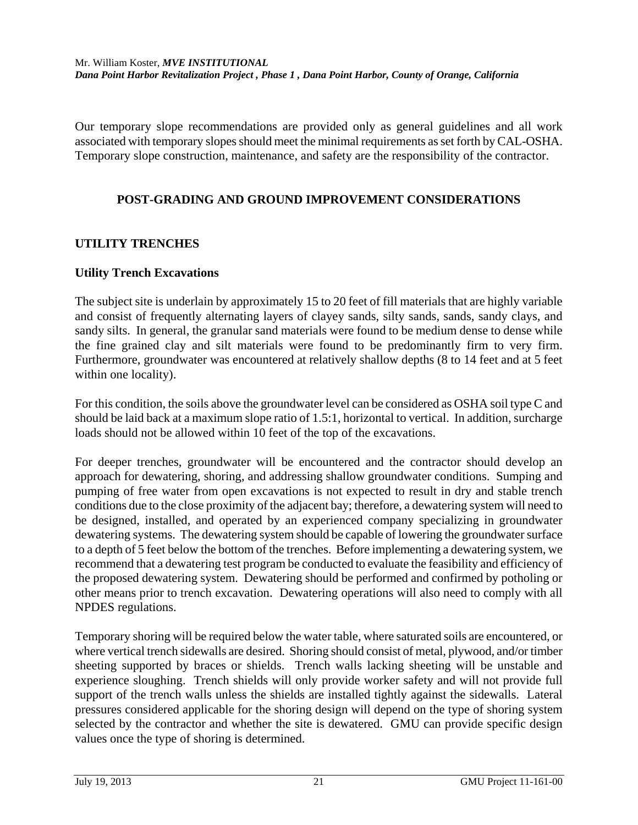Our temporary slope recommendations are provided only as general guidelines and all work associated with temporary slopes should meet the minimal requirements as set forth by CAL-OSHA. Temporary slope construction, maintenance, and safety are the responsibility of the contractor.

## **POST-GRADING AND GROUND IMPROVEMENT CONSIDERATIONS**

## **UTILITY TRENCHES**

### **Utility Trench Excavations**

The subject site is underlain by approximately 15 to 20 feet of fill materials that are highly variable and consist of frequently alternating layers of clayey sands, silty sands, sands, sandy clays, and sandy silts. In general, the granular sand materials were found to be medium dense to dense while the fine grained clay and silt materials were found to be predominantly firm to very firm. Furthermore, groundwater was encountered at relatively shallow depths (8 to 14 feet and at 5 feet within one locality).

For this condition, the soils above the groundwater level can be considered as OSHA soil type C and should be laid back at a maximum slope ratio of 1.5:1, horizontal to vertical. In addition, surcharge loads should not be allowed within 10 feet of the top of the excavations.

For deeper trenches, groundwater will be encountered and the contractor should develop an approach for dewatering, shoring, and addressing shallow groundwater conditions. Sumping and pumping of free water from open excavations is not expected to result in dry and stable trench conditions due to the close proximity of the adjacent bay; therefore, a dewatering system will need to be designed, installed, and operated by an experienced company specializing in groundwater dewatering systems. The dewatering system should be capable of lowering the groundwater surface to a depth of 5 feet below the bottom of the trenches. Before implementing a dewatering system, we recommend that a dewatering test program be conducted to evaluate the feasibility and efficiency of the proposed dewatering system. Dewatering should be performed and confirmed by potholing or other means prior to trench excavation. Dewatering operations will also need to comply with all NPDES regulations.

Temporary shoring will be required below the water table, where saturated soils are encountered, or where vertical trench sidewalls are desired. Shoring should consist of metal, plywood, and/or timber sheeting supported by braces or shields. Trench walls lacking sheeting will be unstable and experience sloughing. Trench shields will only provide worker safety and will not provide full support of the trench walls unless the shields are installed tightly against the sidewalls. Lateral pressures considered applicable for the shoring design will depend on the type of shoring system selected by the contractor and whether the site is dewatered. GMU can provide specific design values once the type of shoring is determined.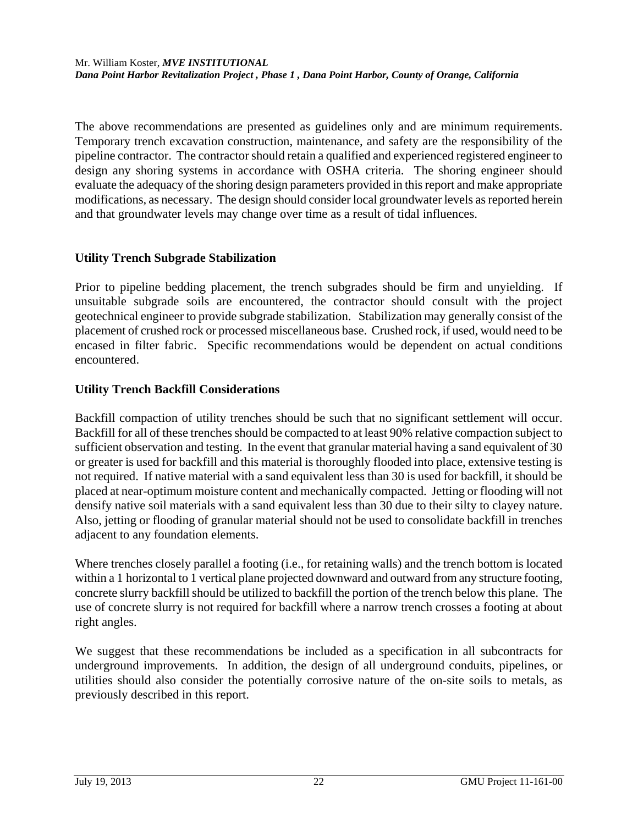The above recommendations are presented as guidelines only and are minimum requirements. Temporary trench excavation construction, maintenance, and safety are the responsibility of the pipeline contractor. The contractor should retain a qualified and experienced registered engineer to design any shoring systems in accordance with OSHA criteria. The shoring engineer should evaluate the adequacy of the shoring design parameters provided in this report and make appropriate modifications, as necessary. The design should consider local groundwater levels as reported herein and that groundwater levels may change over time as a result of tidal influences.

## **Utility Trench Subgrade Stabilization**

Prior to pipeline bedding placement, the trench subgrades should be firm and unyielding. If unsuitable subgrade soils are encountered, the contractor should consult with the project geotechnical engineer to provide subgrade stabilization. Stabilization may generally consist of the placement of crushed rock or processed miscellaneous base. Crushed rock, if used, would need to be encased in filter fabric. Specific recommendations would be dependent on actual conditions encountered.

## **Utility Trench Backfill Considerations**

Backfill compaction of utility trenches should be such that no significant settlement will occur. Backfill for all of these trenches should be compacted to at least 90% relative compaction subject to sufficient observation and testing. In the event that granular material having a sand equivalent of 30 or greater is used for backfill and this material is thoroughly flooded into place, extensive testing is not required. If native material with a sand equivalent less than 30 is used for backfill, it should be placed at near-optimum moisture content and mechanically compacted. Jetting or flooding will not densify native soil materials with a sand equivalent less than 30 due to their silty to clayey nature. Also, jetting or flooding of granular material should not be used to consolidate backfill in trenches adjacent to any foundation elements.

Where trenches closely parallel a footing (i.e., for retaining walls) and the trench bottom is located within a 1 horizontal to 1 vertical plane projected downward and outward from any structure footing, concrete slurry backfill should be utilized to backfill the portion of the trench below this plane. The use of concrete slurry is not required for backfill where a narrow trench crosses a footing at about right angles.

We suggest that these recommendations be included as a specification in all subcontracts for underground improvements. In addition, the design of all underground conduits, pipelines, or utilities should also consider the potentially corrosive nature of the on-site soils to metals, as previously described in this report.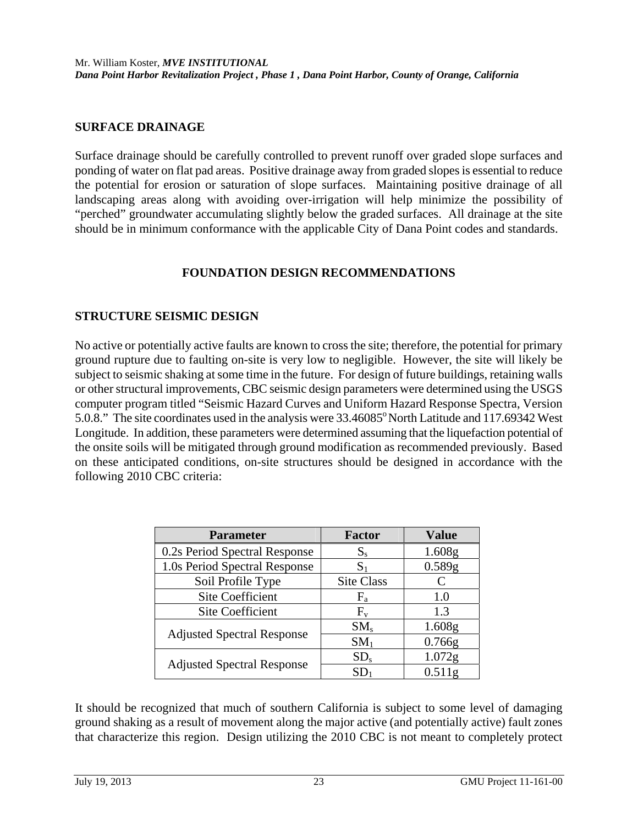#### **SURFACE DRAINAGE**

Surface drainage should be carefully controlled to prevent runoff over graded slope surfaces and ponding of water on flat pad areas. Positive drainage away from graded slopes is essential to reduce the potential for erosion or saturation of slope surfaces. Maintaining positive drainage of all landscaping areas along with avoiding over-irrigation will help minimize the possibility of "perched" groundwater accumulating slightly below the graded surfaces. All drainage at the site should be in minimum conformance with the applicable City of Dana Point codes and standards.

### **FOUNDATION DESIGN RECOMMENDATIONS**

## **STRUCTURE SEISMIC DESIGN**

No active or potentially active faults are known to cross the site; therefore, the potential for primary ground rupture due to faulting on-site is very low to negligible. However, the site will likely be subject to seismic shaking at some time in the future. For design of future buildings, retaining walls or other structural improvements, CBC seismic design parameters were determined using the USGS computer program titled "Seismic Hazard Curves and Uniform Hazard Response Spectra, Version 5.0.8." The site coordinates used in the analysis were  $33.46085^{\circ}$  North Latitude and 117.69342 West Longitude. In addition, these parameters were determined assuming that the liquefaction potential of the onsite soils will be mitigated through ground modification as recommended previously. Based on these anticipated conditions, on-site structures should be designed in accordance with the following 2010 CBC criteria:

| <b>Parameter</b>                  | <b>Factor</b>   | <b>Value</b>       |
|-----------------------------------|-----------------|--------------------|
| 0.2s Period Spectral Response     | $S_{s}$         | 1.608g             |
| 1.0s Period Spectral Response     | S <sub>1</sub>  | 0.589g             |
| Soil Profile Type                 | Site Class      |                    |
| <b>Site Coefficient</b>           | $F_{a}$         | 1.0                |
| <b>Site Coefficient</b>           | $F_{v}$         | 1.3                |
|                                   | $SM_s$          | 1.608g             |
| <b>Adjusted Spectral Response</b> | SM <sub>1</sub> | 0.766g             |
|                                   | SD <sub>s</sub> | 1.072 <sub>g</sub> |
| <b>Adjusted Spectral Response</b> | SD <sub>1</sub> | 0.511 <sub>g</sub> |

It should be recognized that much of southern California is subject to some level of damaging ground shaking as a result of movement along the major active (and potentially active) fault zones that characterize this region. Design utilizing the 2010 CBC is not meant to completely protect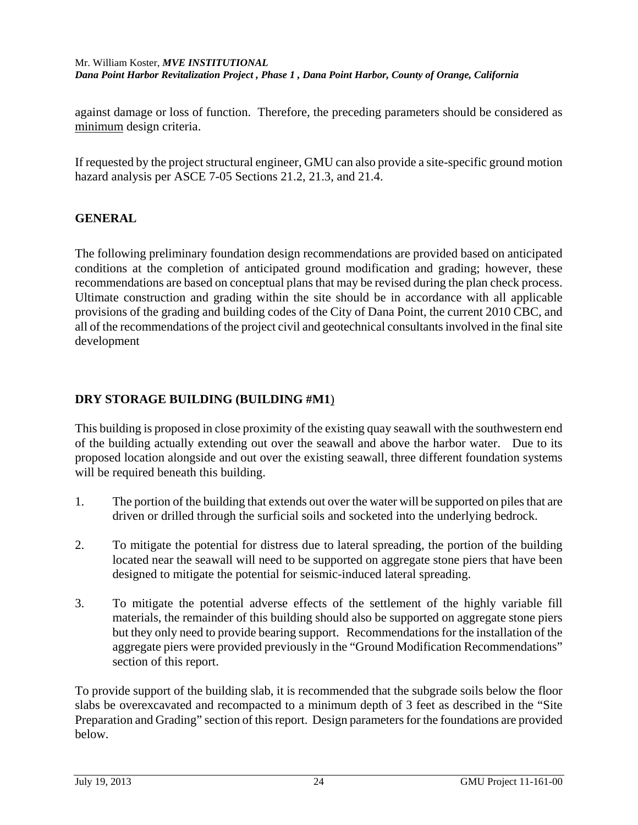against damage or loss of function. Therefore, the preceding parameters should be considered as minimum design criteria.

If requested by the project structural engineer, GMU can also provide a site-specific ground motion hazard analysis per ASCE 7-05 Sections 21.2, 21.3, and 21.4.

## **GENERAL**

The following preliminary foundation design recommendations are provided based on anticipated conditions at the completion of anticipated ground modification and grading; however, these recommendations are based on conceptual plans that may be revised during the plan check process. Ultimate construction and grading within the site should be in accordance with all applicable provisions of the grading and building codes of the City of Dana Point, the current 2010 CBC, and all of the recommendations of the project civil and geotechnical consultants involved in the final site development

## **DRY STORAGE BUILDING (BUILDING #M1**)

This building is proposed in close proximity of the existing quay seawall with the southwestern end of the building actually extending out over the seawall and above the harbor water. Due to its proposed location alongside and out over the existing seawall, three different foundation systems will be required beneath this building.

- 1. The portion of the building that extends out over the water will be supported on piles that are driven or drilled through the surficial soils and socketed into the underlying bedrock.
- 2. To mitigate the potential for distress due to lateral spreading, the portion of the building located near the seawall will need to be supported on aggregate stone piers that have been designed to mitigate the potential for seismic-induced lateral spreading.
- 3. To mitigate the potential adverse effects of the settlement of the highly variable fill materials, the remainder of this building should also be supported on aggregate stone piers but they only need to provide bearing support. Recommendations for the installation of the aggregate piers were provided previously in the "Ground Modification Recommendations" section of this report.

To provide support of the building slab, it is recommended that the subgrade soils below the floor slabs be overexcavated and recompacted to a minimum depth of 3 feet as described in the "Site Preparation and Grading" section of this report. Design parameters for the foundations are provided below.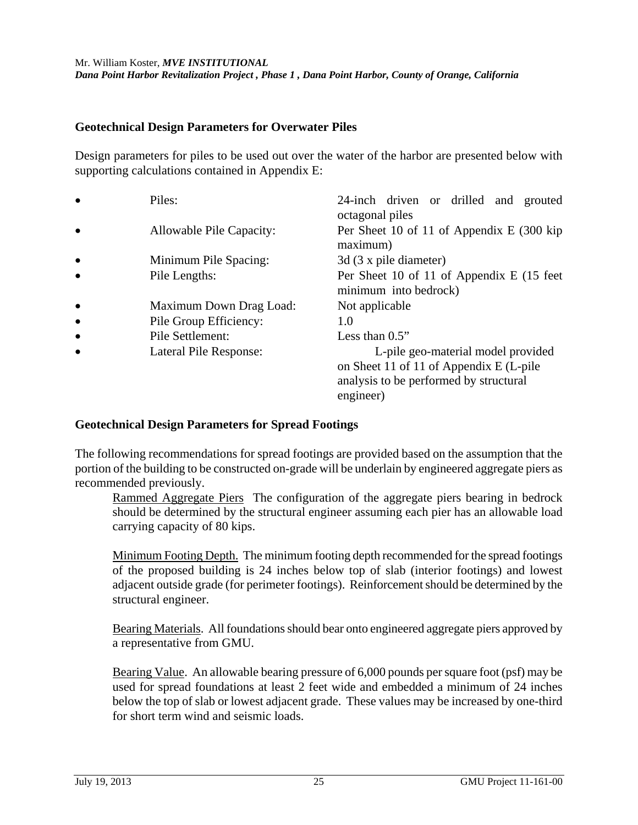#### **Geotechnical Design Parameters for Overwater Piles**

Design parameters for piles to be used out over the water of the harbor are presented below with supporting calculations contained in Appendix E:

| $\bullet$ | Piles:                   | 24-inch driven or drilled and grouted<br>octagonal piles                                                                             |
|-----------|--------------------------|--------------------------------------------------------------------------------------------------------------------------------------|
| $\bullet$ | Allowable Pile Capacity: | Per Sheet 10 of 11 of Appendix E (300 kip)<br>maximum)                                                                               |
| $\bullet$ | Minimum Pile Spacing:    | 3d (3 x pile diameter)                                                                                                               |
| $\bullet$ | Pile Lengths:            | Per Sheet 10 of 11 of Appendix E (15 feet)<br>minimum into bedrock)                                                                  |
| $\bullet$ | Maximum Down Drag Load:  | Not applicable                                                                                                                       |
| $\bullet$ | Pile Group Efficiency:   | 1.0                                                                                                                                  |
| $\bullet$ | Pile Settlement:         | Less than $0.5$ "                                                                                                                    |
| $\bullet$ | Lateral Pile Response:   | L-pile geo-material model provided<br>on Sheet 11 of 11 of Appendix E (L-pile<br>analysis to be performed by structural<br>engineer) |

### **Geotechnical Design Parameters for Spread Footings**

The following recommendations for spread footings are provided based on the assumption that the portion of the building to be constructed on-grade will be underlain by engineered aggregate piers as recommended previously.

Rammed Aggregate Piers The configuration of the aggregate piers bearing in bedrock should be determined by the structural engineer assuming each pier has an allowable load carrying capacity of 80 kips.

Minimum Footing Depth. The minimum footing depth recommended for the spread footings of the proposed building is 24 inches below top of slab (interior footings) and lowest adjacent outside grade (for perimeter footings). Reinforcement should be determined by the structural engineer.

 Bearing Materials. All foundations should bear onto engineered aggregate piers approved by a representative from GMU.

Bearing Value. An allowable bearing pressure of 6,000 pounds per square foot (psf) may be used for spread foundations at least 2 feet wide and embedded a minimum of 24 inches below the top of slab or lowest adjacent grade. These values may be increased by one-third for short term wind and seismic loads.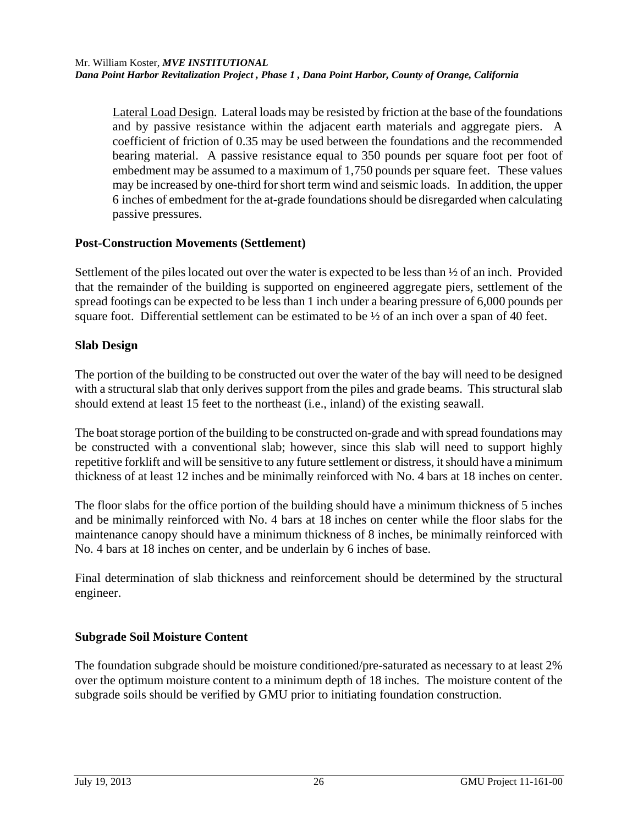Lateral Load Design.Lateral loads may be resisted by friction at the base of the foundations and by passive resistance within the adjacent earth materials and aggregate piers. A coefficient of friction of 0.35 may be used between the foundations and the recommended bearing material. A passive resistance equal to 350 pounds per square foot per foot of embedment may be assumed to a maximum of 1,750 pounds per square feet. These values may be increased by one-third for short term wind and seismic loads. In addition, the upper 6 inches of embedment for the at-grade foundations should be disregarded when calculating passive pressures.

## **Post-Construction Movements (Settlement)**

Settlement of the piles located out over the water is expected to be less than ½ of an inch. Provided that the remainder of the building is supported on engineered aggregate piers, settlement of the spread footings can be expected to be less than 1 inch under a bearing pressure of 6,000 pounds per square foot. Differential settlement can be estimated to be ½ of an inch over a span of 40 feet.

## **Slab Design**

The portion of the building to be constructed out over the water of the bay will need to be designed with a structural slab that only derives support from the piles and grade beams. This structural slab should extend at least 15 feet to the northeast (i.e., inland) of the existing seawall.

The boat storage portion of the building to be constructed on-grade and with spread foundations may be constructed with a conventional slab; however, since this slab will need to support highly repetitive forklift and will be sensitive to any future settlement or distress, it should have a minimum thickness of at least 12 inches and be minimally reinforced with No. 4 bars at 18 inches on center.

The floor slabs for the office portion of the building should have a minimum thickness of 5 inches and be minimally reinforced with No. 4 bars at 18 inches on center while the floor slabs for the maintenance canopy should have a minimum thickness of 8 inches, be minimally reinforced with No. 4 bars at 18 inches on center, and be underlain by 6 inches of base.

Final determination of slab thickness and reinforcement should be determined by the structural engineer.

## **Subgrade Soil Moisture Content**

The foundation subgrade should be moisture conditioned/pre-saturated as necessary to at least 2% over the optimum moisture content to a minimum depth of 18 inches. The moisture content of the subgrade soils should be verified by GMU prior to initiating foundation construction.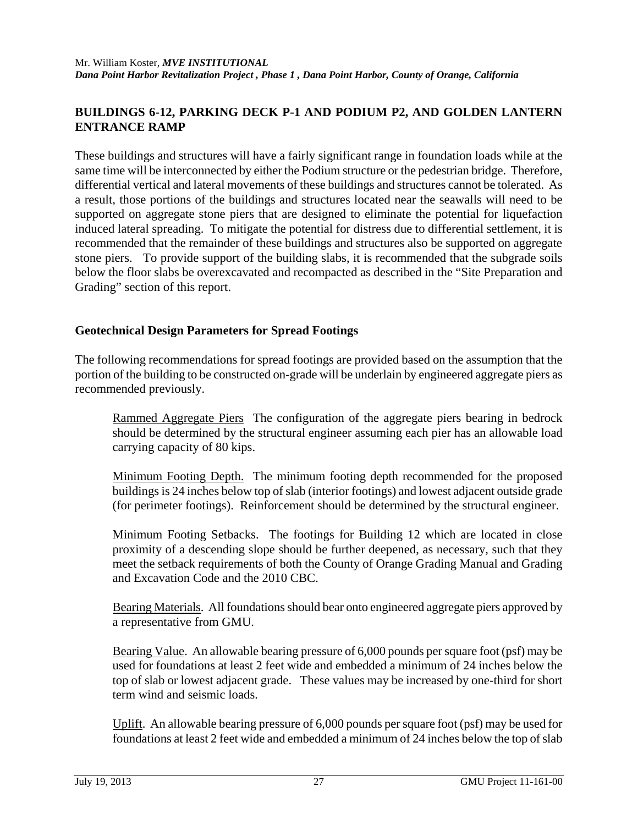## **BUILDINGS 6-12, PARKING DECK P-1 AND PODIUM P2, AND GOLDEN LANTERN ENTRANCE RAMP**

These buildings and structures will have a fairly significant range in foundation loads while at the same time will be interconnected by either the Podium structure or the pedestrian bridge. Therefore, differential vertical and lateral movements of these buildings and structures cannot be tolerated. As a result, those portions of the buildings and structures located near the seawalls will need to be supported on aggregate stone piers that are designed to eliminate the potential for liquefaction induced lateral spreading. To mitigate the potential for distress due to differential settlement, it is recommended that the remainder of these buildings and structures also be supported on aggregate stone piers. To provide support of the building slabs, it is recommended that the subgrade soils below the floor slabs be overexcavated and recompacted as described in the "Site Preparation and Grading" section of this report.

## **Geotechnical Design Parameters for Spread Footings**

The following recommendations for spread footings are provided based on the assumption that the portion of the building to be constructed on-grade will be underlain by engineered aggregate piers as recommended previously.

Rammed Aggregate Piers The configuration of the aggregate piers bearing in bedrock should be determined by the structural engineer assuming each pier has an allowable load carrying capacity of 80 kips.

Minimum Footing Depth. The minimum footing depth recommended for the proposed buildings is 24 inches below top of slab (interior footings) and lowest adjacent outside grade (for perimeter footings). Reinforcement should be determined by the structural engineer.

Minimum Footing Setbacks. The footings for Building 12 which are located in close proximity of a descending slope should be further deepened, as necessary, such that they meet the setback requirements of both the County of Orange Grading Manual and Grading and Excavation Code and the 2010 CBC.

 Bearing Materials. All foundations should bear onto engineered aggregate piers approved by a representative from GMU.

Bearing Value. An allowable bearing pressure of 6,000 pounds per square foot (psf) may be used for foundations at least 2 feet wide and embedded a minimum of 24 inches below the top of slab or lowest adjacent grade. These values may be increased by one-third for short term wind and seismic loads.

Uplift. An allowable bearing pressure of 6,000 pounds per square foot (psf) may be used for foundations at least 2 feet wide and embedded a minimum of 24 inches below the top of slab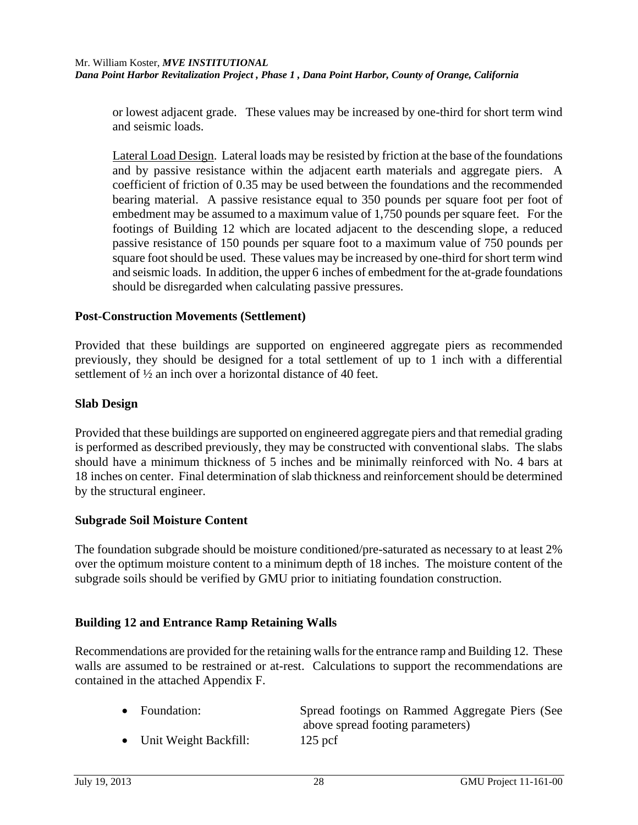or lowest adjacent grade. These values may be increased by one-third for short term wind and seismic loads.

Lateral Load Design.Lateral loads may be resisted by friction at the base of the foundations and by passive resistance within the adjacent earth materials and aggregate piers. A coefficient of friction of 0.35 may be used between the foundations and the recommended bearing material. A passive resistance equal to 350 pounds per square foot per foot of embedment may be assumed to a maximum value of 1,750 pounds per square feet. For the footings of Building 12 which are located adjacent to the descending slope, a reduced passive resistance of 150 pounds per square foot to a maximum value of 750 pounds per square foot should be used. These values may be increased by one-third for short term wind and seismic loads. In addition, the upper 6 inches of embedment for the at-grade foundations should be disregarded when calculating passive pressures.

### **Post-Construction Movements (Settlement)**

Provided that these buildings are supported on engineered aggregate piers as recommended previously, they should be designed for a total settlement of up to 1 inch with a differential settlement of ½ an inch over a horizontal distance of 40 feet.

#### **Slab Design**

Provided that these buildings are supported on engineered aggregate piers and that remedial grading is performed as described previously, they may be constructed with conventional slabs. The slabs should have a minimum thickness of 5 inches and be minimally reinforced with No. 4 bars at 18 inches on center. Final determination of slab thickness and reinforcement should be determined by the structural engineer.

#### **Subgrade Soil Moisture Content**

The foundation subgrade should be moisture conditioned/pre-saturated as necessary to at least 2% over the optimum moisture content to a minimum depth of 18 inches. The moisture content of the subgrade soils should be verified by GMU prior to initiating foundation construction.

### **Building 12 and Entrance Ramp Retaining Walls**

Recommendations are provided for the retaining walls for the entrance ramp and Building 12. These walls are assumed to be restrained or at-rest. Calculations to support the recommendations are contained in the attached Appendix F.

| $\bullet$ Foundation:   | Spread footings on Rammed Aggregate Piers (See |
|-------------------------|------------------------------------------------|
|                         | above spread footing parameters)               |
| • Unit Weight Backfill: | $125$ pcf                                      |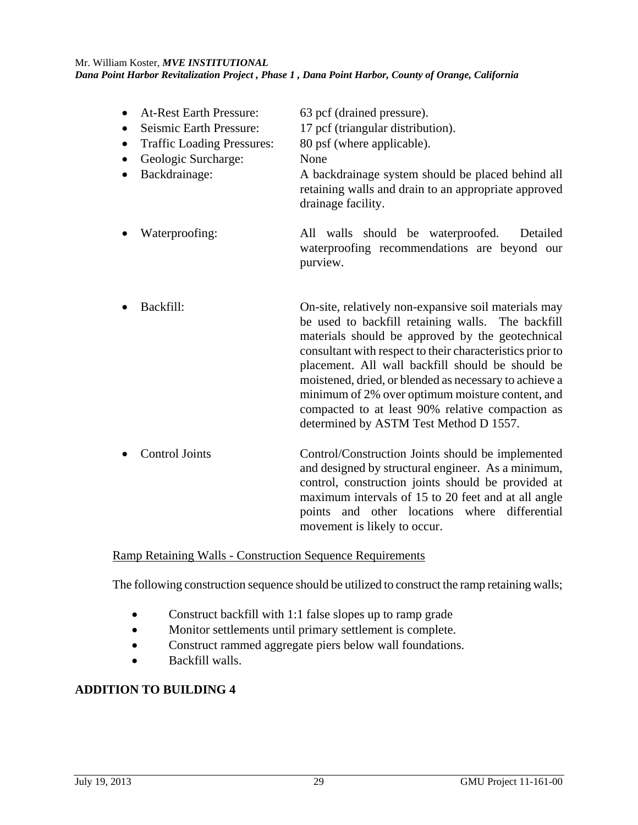At-Rest Earth Pressure: 63 pcf (drained pressure). • Seismic Earth Pressure: 17 pcf (triangular distribution). • Traffic Loading Pressures: 80 psf (where applicable). • Geologic Surcharge: None Backdrainage: A backdrainage system should be placed behind all retaining walls and drain to an appropriate approved drainage facility. Waterproofing: All walls should be waterproofed. Detailed waterproofing recommendations are beyond our purview. Backfill: On-site, relatively non-expansive soil materials may be used to backfill retaining walls. The backfill materials should be approved by the geotechnical consultant with respect to their characteristics prior to placement. All wall backfill should be should be moistened, dried, or blended as necessary to achieve a minimum of 2% over optimum moisture content, and compacted to at least 90% relative compaction as determined by ASTM Test Method D 1557. Control Joints Control/Construction Joints should be implemented and designed by structural engineer. As a minimum, control, construction joints should be provided at

Ramp Retaining Walls - Construction Sequence Requirements

The following construction sequence should be utilized to construct the ramp retaining walls;

movement is likely to occur.

maximum intervals of 15 to 20 feet and at all angle points and other locations where differential

- Construct backfill with 1:1 false slopes up to ramp grade
- Monitor settlements until primary settlement is complete.
- Construct rammed aggregate piers below wall foundations.
- Backfill walls.

## **ADDITION TO BUILDING 4**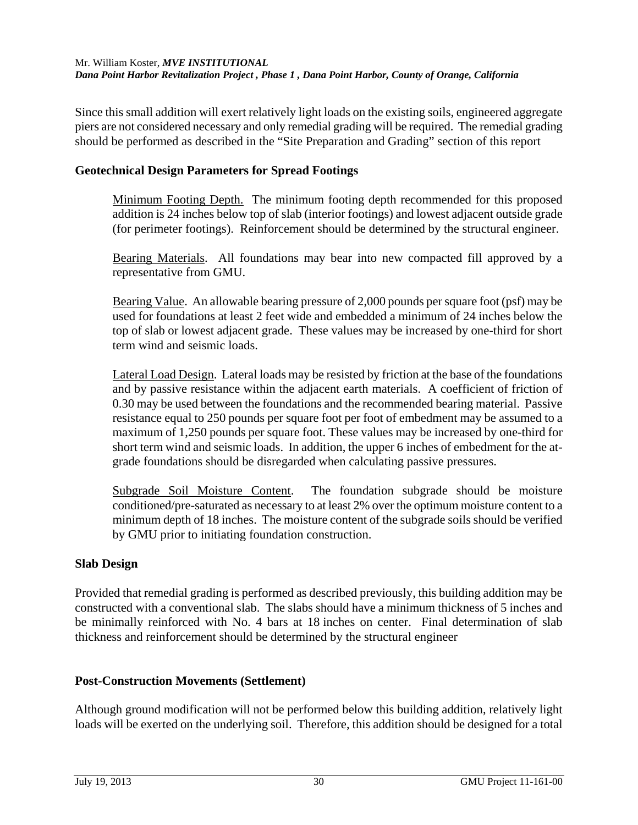Since this small addition will exert relatively light loads on the existing soils, engineered aggregate piers are not considered necessary and only remedial grading will be required. The remedial grading should be performed as described in the "Site Preparation and Grading" section of this report

### **Geotechnical Design Parameters for Spread Footings**

Minimum Footing Depth. The minimum footing depth recommended for this proposed addition is 24 inches below top of slab (interior footings) and lowest adjacent outside grade (for perimeter footings). Reinforcement should be determined by the structural engineer.

 Bearing Materials. All foundations may bear into new compacted fill approved by a representative from GMU.

Bearing Value. An allowable bearing pressure of 2,000 pounds per square foot (psf) may be used for foundations at least 2 feet wide and embedded a minimum of 24 inches below the top of slab or lowest adjacent grade. These values may be increased by one-third for short term wind and seismic loads.

 Lateral Load Design.Lateral loads may be resisted by friction at the base of the foundations and by passive resistance within the adjacent earth materials. A coefficient of friction of 0.30 may be used between the foundations and the recommended bearing material. Passive resistance equal to 250 pounds per square foot per foot of embedment may be assumed to a maximum of 1,250 pounds per square foot. These values may be increased by one-third for short term wind and seismic loads. In addition, the upper 6 inches of embedment for the atgrade foundations should be disregarded when calculating passive pressures.

Subgrade Soil Moisture Content. The foundation subgrade should be moisture conditioned/pre-saturated as necessary to at least 2% over the optimum moisture content to a minimum depth of 18 inches. The moisture content of the subgrade soils should be verified by GMU prior to initiating foundation construction.

### **Slab Design**

Provided that remedial grading is performed as described previously, this building addition may be constructed with a conventional slab. The slabs should have a minimum thickness of 5 inches and be minimally reinforced with No. 4 bars at 18 inches on center. Final determination of slab thickness and reinforcement should be determined by the structural engineer

#### **Post-Construction Movements (Settlement)**

Although ground modification will not be performed below this building addition, relatively light loads will be exerted on the underlying soil. Therefore, this addition should be designed for a total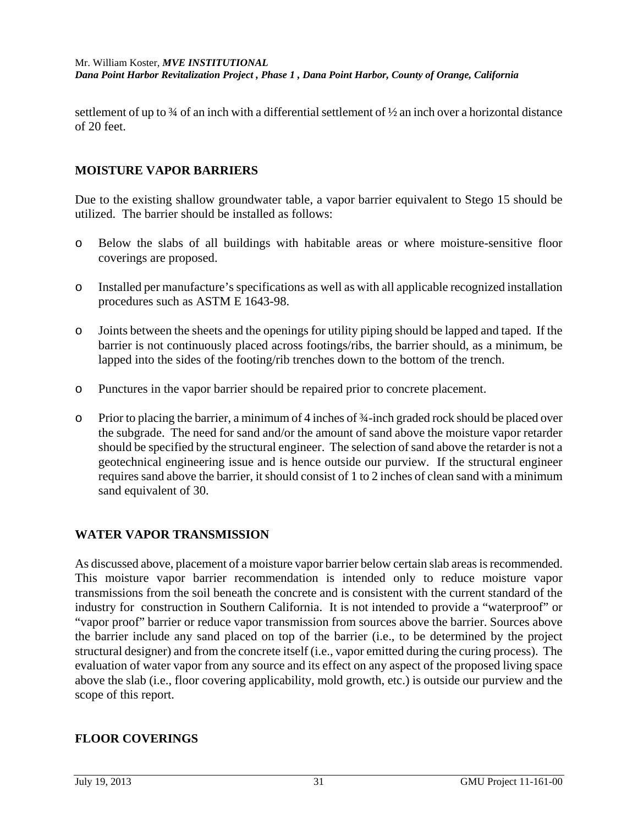settlement of up to  $\frac{3}{4}$  of an inch with a differential settlement of  $\frac{1}{2}$  an inch over a horizontal distance of 20 feet.

### **MOISTURE VAPOR BARRIERS**

Due to the existing shallow groundwater table, a vapor barrier equivalent to Stego 15 should be utilized. The barrier should be installed as follows:

- o Below the slabs of all buildings with habitable areas or where moisture-sensitive floor coverings are proposed.
- o Installed per manufacture's specifications as well as with all applicable recognized installation procedures such as ASTM E 1643-98.
- o Joints between the sheets and the openings for utility piping should be lapped and taped. If the barrier is not continuously placed across footings/ribs, the barrier should, as a minimum, be lapped into the sides of the footing/rib trenches down to the bottom of the trench.
- o Punctures in the vapor barrier should be repaired prior to concrete placement.
- o Prior to placing the barrier, a minimum of 4 inches of ¾-inch graded rock should be placed over the subgrade. The need for sand and/or the amount of sand above the moisture vapor retarder should be specified by the structural engineer. The selection of sand above the retarder is not a geotechnical engineering issue and is hence outside our purview. If the structural engineer requires sand above the barrier, it should consist of 1 to 2 inches of clean sand with a minimum sand equivalent of 30.

## **WATER VAPOR TRANSMISSION**

As discussed above, placement of a moisture vapor barrier below certain slab areas is recommended. This moisture vapor barrier recommendation is intended only to reduce moisture vapor transmissions from the soil beneath the concrete and is consistent with the current standard of the industry for construction in Southern California. It is not intended to provide a "waterproof" or "vapor proof" barrier or reduce vapor transmission from sources above the barrier. Sources above the barrier include any sand placed on top of the barrier (i.e., to be determined by the project structural designer) and from the concrete itself (i.e., vapor emitted during the curing process). The evaluation of water vapor from any source and its effect on any aspect of the proposed living space above the slab (i.e., floor covering applicability, mold growth, etc.) is outside our purview and the scope of this report.

## **FLOOR COVERINGS**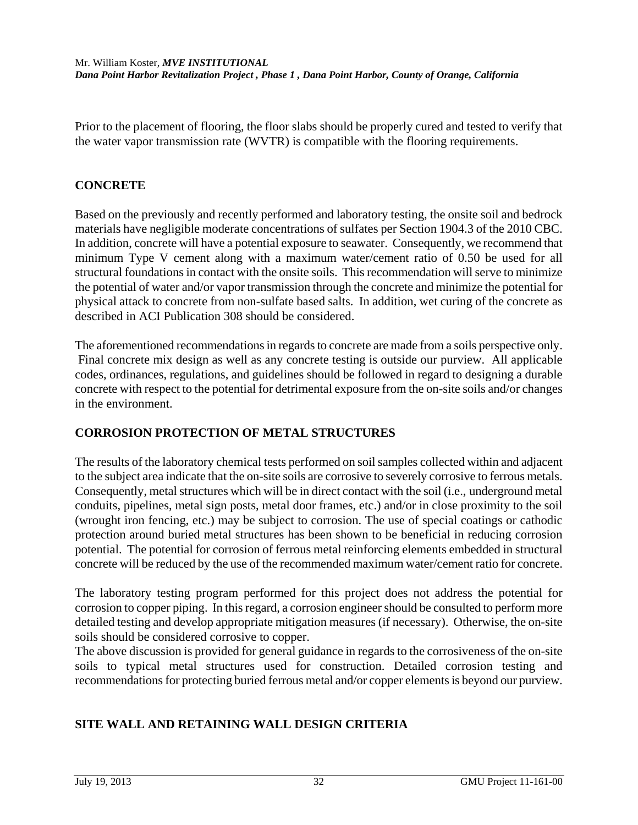Prior to the placement of flooring, the floor slabs should be properly cured and tested to verify that the water vapor transmission rate (WVTR) is compatible with the flooring requirements.

## **CONCRETE**

Based on the previously and recently performed and laboratory testing, the onsite soil and bedrock materials have negligible moderate concentrations of sulfates per Section 1904.3 of the 2010 CBC. In addition, concrete will have a potential exposure to seawater. Consequently, we recommend that minimum Type V cement along with a maximum water/cement ratio of 0.50 be used for all structural foundations in contact with the onsite soils. This recommendation will serve to minimize the potential of water and/or vapor transmission through the concrete and minimize the potential for physical attack to concrete from non-sulfate based salts. In addition, wet curing of the concrete as described in ACI Publication 308 should be considered.

The aforementioned recommendations in regards to concrete are made from a soils perspective only. Final concrete mix design as well as any concrete testing is outside our purview. All applicable codes, ordinances, regulations, and guidelines should be followed in regard to designing a durable concrete with respect to the potential for detrimental exposure from the on-site soils and/or changes in the environment.

## **CORROSION PROTECTION OF METAL STRUCTURES**

The results of the laboratory chemical tests performed on soil samples collected within and adjacent to the subject area indicate that the on-site soils are corrosive to severely corrosive to ferrous metals. Consequently, metal structures which will be in direct contact with the soil (i.e., underground metal conduits, pipelines, metal sign posts, metal door frames, etc.) and/or in close proximity to the soil (wrought iron fencing, etc.) may be subject to corrosion. The use of special coatings or cathodic protection around buried metal structures has been shown to be beneficial in reducing corrosion potential. The potential for corrosion of ferrous metal reinforcing elements embedded in structural concrete will be reduced by the use of the recommended maximum water/cement ratio for concrete.

The laboratory testing program performed for this project does not address the potential for corrosion to copper piping. In this regard, a corrosion engineer should be consulted to perform more detailed testing and develop appropriate mitigation measures (if necessary). Otherwise, the on-site soils should be considered corrosive to copper.

The above discussion is provided for general guidance in regards to the corrosiveness of the on-site soils to typical metal structures used for construction. Detailed corrosion testing and recommendations for protecting buried ferrous metal and/or copper elements is beyond our purview.

## **SITE WALL AND RETAINING WALL DESIGN CRITERIA**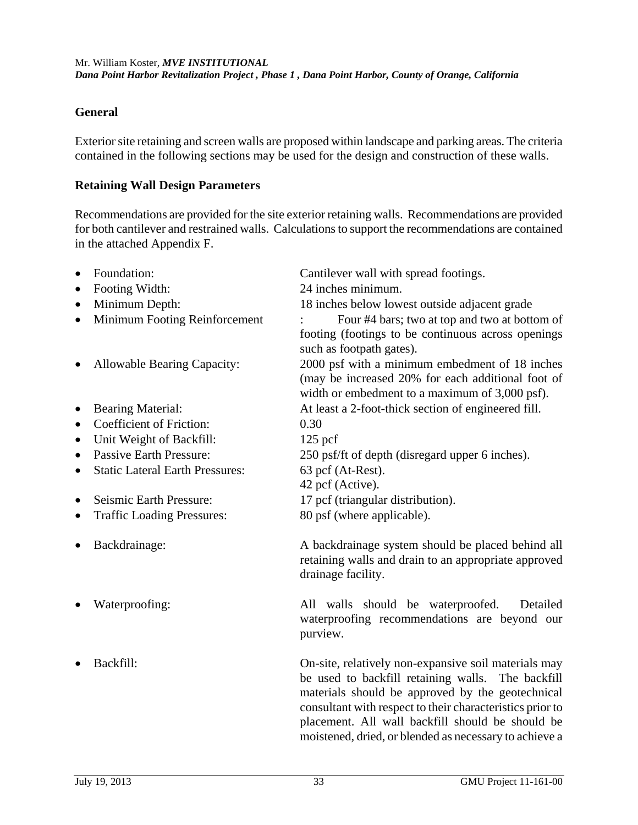#### **General**

Exterior site retaining and screen walls are proposed within landscape and parking areas. The criteria contained in the following sections may be used for the design and construction of these walls.

#### **Retaining Wall Design Parameters**

Recommendations are provided for the site exterior retaining walls. Recommendations are provided for both cantilever and restrained walls. Calculations to support the recommendations are contained in the attached Appendix F.

| $\bullet$ | Foundation:                            | Cantilever wall with spread footings.                                                                                                                                                                                                                                          |
|-----------|----------------------------------------|--------------------------------------------------------------------------------------------------------------------------------------------------------------------------------------------------------------------------------------------------------------------------------|
| $\bullet$ | Footing Width:                         | 24 inches minimum.                                                                                                                                                                                                                                                             |
| $\bullet$ | Minimum Depth:                         | 18 inches below lowest outside adjacent grade                                                                                                                                                                                                                                  |
| $\bullet$ | Minimum Footing Reinforcement          | Four #4 bars; two at top and two at bottom of                                                                                                                                                                                                                                  |
|           |                                        | footing (footings to be continuous across openings<br>such as footpath gates).                                                                                                                                                                                                 |
| $\bullet$ | Allowable Bearing Capacity:            | 2000 psf with a minimum embedment of 18 inches<br>(may be increased 20% for each additional foot of<br>width or embedment to a maximum of 3,000 psf).                                                                                                                          |
| $\bullet$ | <b>Bearing Material:</b>               | At least a 2-foot-thick section of engineered fill.                                                                                                                                                                                                                            |
| $\bullet$ | <b>Coefficient of Friction:</b>        | 0.30                                                                                                                                                                                                                                                                           |
| $\bullet$ | Unit Weight of Backfill:               | $125$ pcf                                                                                                                                                                                                                                                                      |
| $\bullet$ | <b>Passive Earth Pressure:</b>         | 250 psf/ft of depth (disregard upper 6 inches).                                                                                                                                                                                                                                |
| $\bullet$ | <b>Static Lateral Earth Pressures:</b> | 63 pcf (At-Rest).<br>42 pcf (Active).                                                                                                                                                                                                                                          |
| $\bullet$ | Seismic Earth Pressure:                | 17 pcf (triangular distribution).                                                                                                                                                                                                                                              |
| $\bullet$ | <b>Traffic Loading Pressures:</b>      | 80 psf (where applicable).                                                                                                                                                                                                                                                     |
| $\bullet$ | Backdrainage:                          | A backdrainage system should be placed behind all<br>retaining walls and drain to an appropriate approved<br>drainage facility.                                                                                                                                                |
|           | Waterproofing:                         | All walls should be waterproofed.<br>Detailed<br>waterproofing recommendations are beyond our<br>purview.                                                                                                                                                                      |
| $\bullet$ | Backfill:                              | On-site, relatively non-expansive soil materials may<br>be used to backfill retaining walls. The backfill<br>materials should be approved by the geotechnical<br>consultant with respect to their characteristics prior to<br>placement. All wall backfill should be should be |

moistened, dried, or blended as necessary to achieve a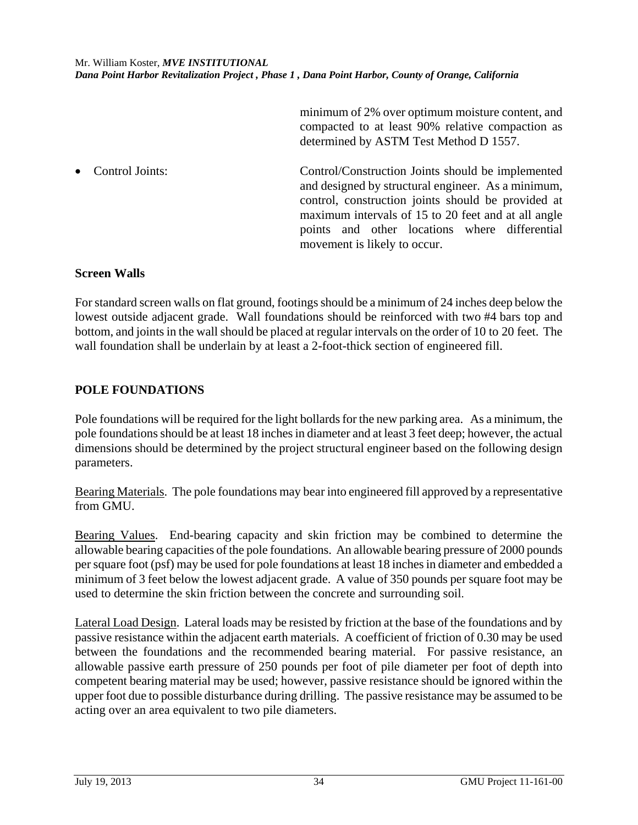minimum of 2% over optimum moisture content, and compacted to at least 90% relative compaction as determined by ASTM Test Method D 1557.

 Control Joints: Control/Construction Joints should be implemented and designed by structural engineer. As a minimum, control, construction joints should be provided at maximum intervals of 15 to 20 feet and at all angle points and other locations where differential movement is likely to occur.

### **Screen Walls**

For standard screen walls on flat ground, footings should be a minimum of 24 inches deep below the lowest outside adjacent grade. Wall foundations should be reinforced with two #4 bars top and bottom, and joints in the wall should be placed at regular intervals on the order of 10 to 20 feet. The wall foundation shall be underlain by at least a 2-foot-thick section of engineered fill.

## **POLE FOUNDATIONS**

Pole foundations will be required for the light bollards for the new parking area. As a minimum, the pole foundations should be at least 18 inches in diameter and at least 3 feet deep; however, the actual dimensions should be determined by the project structural engineer based on the following design parameters.

Bearing Materials. The pole foundations may bear into engineered fill approved by a representative from GMU.

Bearing Values. End-bearing capacity and skin friction may be combined to determine the allowable bearing capacities of the pole foundations. An allowable bearing pressure of 2000 pounds per square foot (psf) may be used for pole foundations at least 18 inches in diameter and embedded a minimum of 3 feet below the lowest adjacent grade. A value of 350 pounds per square foot may be used to determine the skin friction between the concrete and surrounding soil.

Lateral Load Design.Lateral loads may be resisted by friction at the base of the foundations and by passive resistance within the adjacent earth materials. A coefficient of friction of 0.30 may be used between the foundations and the recommended bearing material. For passive resistance, an allowable passive earth pressure of 250 pounds per foot of pile diameter per foot of depth into competent bearing material may be used; however, passive resistance should be ignored within the upper foot due to possible disturbance during drilling. The passive resistance may be assumed to be acting over an area equivalent to two pile diameters.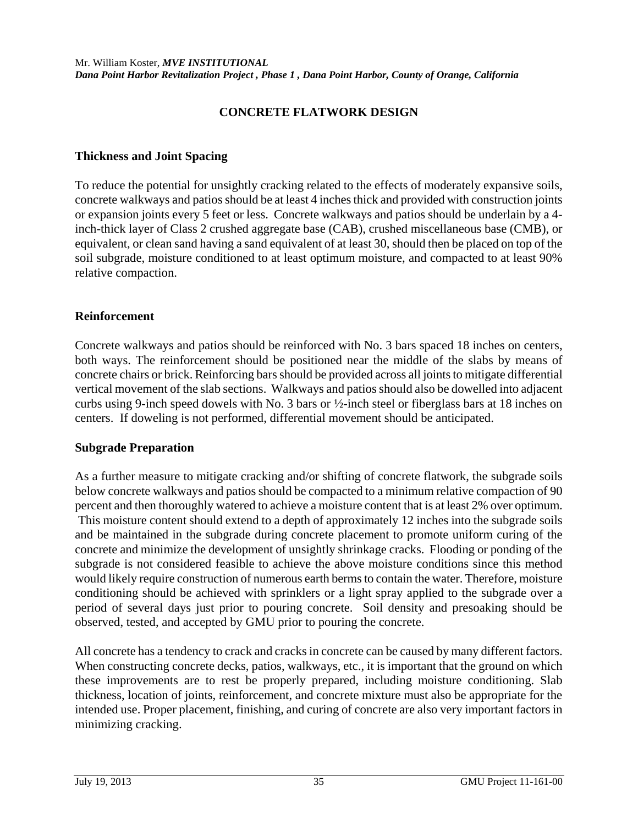## **CONCRETE FLATWORK DESIGN**

#### **Thickness and Joint Spacing**

To reduce the potential for unsightly cracking related to the effects of moderately expansive soils, concrete walkways and patios should be at least 4 inches thick and provided with construction joints or expansion joints every 5 feet or less. Concrete walkways and patios should be underlain by a 4 inch-thick layer of Class 2 crushed aggregate base (CAB), crushed miscellaneous base (CMB), or equivalent, or clean sand having a sand equivalent of at least 30, should then be placed on top of the soil subgrade, moisture conditioned to at least optimum moisture, and compacted to at least 90% relative compaction.

#### **Reinforcement**

Concrete walkways and patios should be reinforced with No. 3 bars spaced 18 inches on centers, both ways. The reinforcement should be positioned near the middle of the slabs by means of concrete chairs or brick. Reinforcing bars should be provided across all joints to mitigate differential vertical movement of the slab sections. Walkways and patios should also be dowelled into adjacent curbs using 9-inch speed dowels with No. 3 bars or ½-inch steel or fiberglass bars at 18 inches on centers. If doweling is not performed, differential movement should be anticipated.

### **Subgrade Preparation**

As a further measure to mitigate cracking and/or shifting of concrete flatwork, the subgrade soils below concrete walkways and patios should be compacted to a minimum relative compaction of 90 percent and then thoroughly watered to achieve a moisture content that is at least 2% over optimum. This moisture content should extend to a depth of approximately 12 inches into the subgrade soils and be maintained in the subgrade during concrete placement to promote uniform curing of the concrete and minimize the development of unsightly shrinkage cracks. Flooding or ponding of the subgrade is not considered feasible to achieve the above moisture conditions since this method would likely require construction of numerous earth berms to contain the water. Therefore, moisture conditioning should be achieved with sprinklers or a light spray applied to the subgrade over a period of several days just prior to pouring concrete. Soil density and presoaking should be observed, tested, and accepted by GMU prior to pouring the concrete.

All concrete has a tendency to crack and cracks in concrete can be caused by many different factors. When constructing concrete decks, patios, walkways, etc., it is important that the ground on which these improvements are to rest be properly prepared, including moisture conditioning. Slab thickness, location of joints, reinforcement, and concrete mixture must also be appropriate for the intended use. Proper placement, finishing, and curing of concrete are also very important factors in minimizing cracking.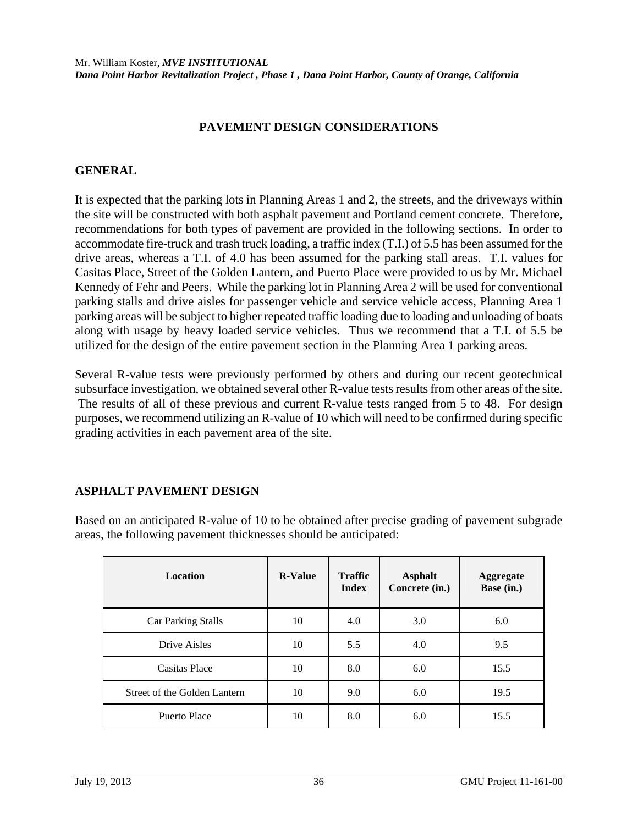### **PAVEMENT DESIGN CONSIDERATIONS**

### **GENERAL**

It is expected that the parking lots in Planning Areas 1 and 2, the streets, and the driveways within the site will be constructed with both asphalt pavement and Portland cement concrete. Therefore, recommendations for both types of pavement are provided in the following sections. In order to accommodate fire-truck and trash truck loading, a traffic index (T.I.) of 5.5 has been assumed for the drive areas, whereas a T.I. of 4.0 has been assumed for the parking stall areas. T.I. values for Casitas Place, Street of the Golden Lantern, and Puerto Place were provided to us by Mr. Michael Kennedy of Fehr and Peers. While the parking lot in Planning Area 2 will be used for conventional parking stalls and drive aisles for passenger vehicle and service vehicle access, Planning Area 1 parking areas will be subject to higher repeated traffic loading due to loading and unloading of boats along with usage by heavy loaded service vehicles. Thus we recommend that a T.I. of 5.5 be utilized for the design of the entire pavement section in the Planning Area 1 parking areas.

Several R-value tests were previously performed by others and during our recent geotechnical subsurface investigation, we obtained several other R-value tests results from other areas of the site. The results of all of these previous and current R-value tests ranged from 5 to 48. For design purposes, we recommend utilizing an R-value of 10 which will need to be confirmed during specific grading activities in each pavement area of the site.

## **ASPHALT PAVEMENT DESIGN**

Based on an anticipated R-value of 10 to be obtained after precise grading of pavement subgrade areas, the following pavement thicknesses should be anticipated:

| <b>Location</b>              | <b>R-Value</b> | <b>Traffic</b><br><b>Index</b> | <b>Asphalt</b><br>Concrete (in.) | <b>Aggregate</b><br>Base (in.) |
|------------------------------|----------------|--------------------------------|----------------------------------|--------------------------------|
| <b>Car Parking Stalls</b>    | 10             | 4.0                            | 3.0                              | 6.0                            |
| Drive Aisles                 | 10             | 5.5                            | 4.0                              | 9.5                            |
| Casitas Place                | 10             | 8.0                            | 6.0                              | 15.5                           |
| Street of the Golden Lantern | 10             | 9.0                            | 6.0                              | 19.5                           |
| Puerto Place                 | 10             | 8.0                            | 6.0                              | 15.5                           |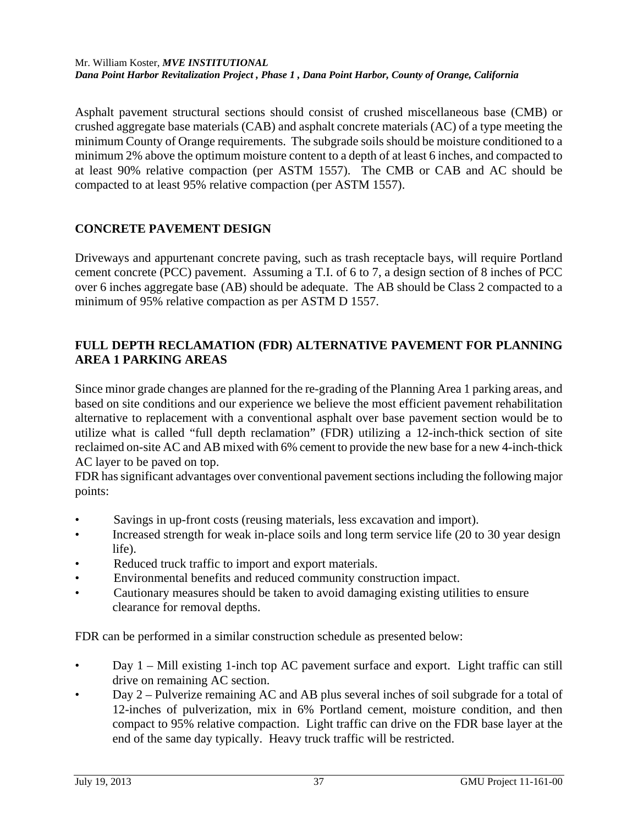Asphalt pavement structural sections should consist of crushed miscellaneous base (CMB) or crushed aggregate base materials (CAB) and asphalt concrete materials (AC) of a type meeting the minimum County of Orange requirements. The subgrade soils should be moisture conditioned to a minimum 2% above the optimum moisture content to a depth of at least 6 inches, and compacted to at least 90% relative compaction (per ASTM 1557). The CMB or CAB and AC should be compacted to at least 95% relative compaction (per ASTM 1557).

# **CONCRETE PAVEMENT DESIGN**

Driveways and appurtenant concrete paving, such as trash receptacle bays, will require Portland cement concrete (PCC) pavement. Assuming a T.I. of 6 to 7, a design section of 8 inches of PCC over 6 inches aggregate base (AB) should be adequate. The AB should be Class 2 compacted to a minimum of 95% relative compaction as per ASTM D 1557.

## **FULL DEPTH RECLAMATION (FDR) ALTERNATIVE PAVEMENT FOR PLANNING AREA 1 PARKING AREAS**

Since minor grade changes are planned for the re-grading of the Planning Area 1 parking areas, and based on site conditions and our experience we believe the most efficient pavement rehabilitation alternative to replacement with a conventional asphalt over base pavement section would be to utilize what is called "full depth reclamation" (FDR) utilizing a 12-inch-thick section of site reclaimed on-site AC and AB mixed with 6% cement to provide the new base for a new 4-inch-thick AC layer to be paved on top.

FDR has significant advantages over conventional pavement sections including the following major points:

- Savings in up-front costs (reusing materials, less excavation and import).
- Increased strength for weak in-place soils and long term service life (20 to 30 year design life).
- Reduced truck traffic to import and export materials.
- Environmental benefits and reduced community construction impact.
- Cautionary measures should be taken to avoid damaging existing utilities to ensure clearance for removal depths.

FDR can be performed in a similar construction schedule as presented below:

- Day 1 Mill existing 1-inch top AC pavement surface and export. Light traffic can still drive on remaining AC section.
- Day 2 Pulverize remaining AC and AB plus several inches of soil subgrade for a total of 12-inches of pulverization, mix in 6% Portland cement, moisture condition, and then compact to 95% relative compaction. Light traffic can drive on the FDR base layer at the end of the same day typically. Heavy truck traffic will be restricted.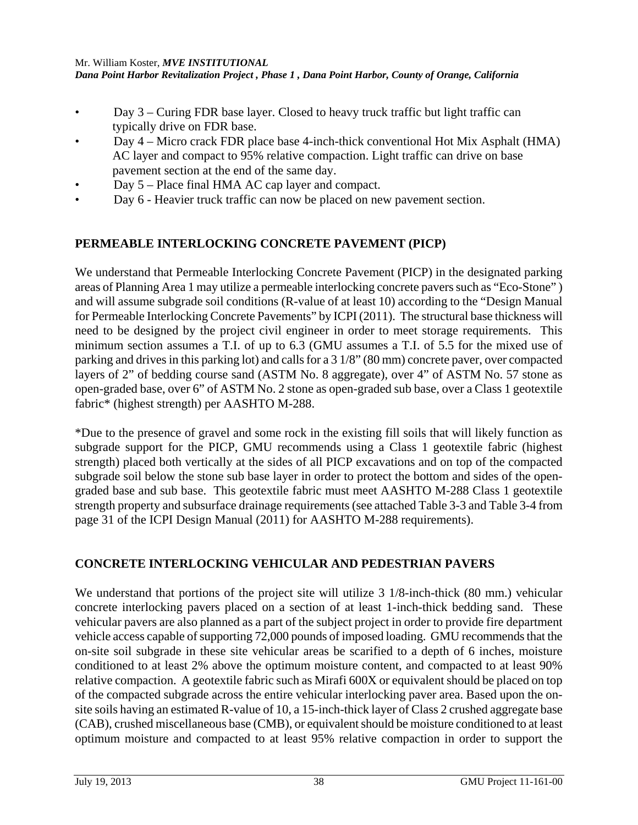- Day 3 Curing FDR base layer. Closed to heavy truck traffic but light traffic can typically drive on FDR base.
- Day 4 Micro crack FDR place base 4-inch-thick conventional Hot Mix Asphalt (HMA) AC layer and compact to 95% relative compaction. Light traffic can drive on base pavement section at the end of the same day.
- Day 5 Place final HMA AC cap layer and compact.
- Day 6 Heavier truck traffic can now be placed on new pavement section.

# **PERMEABLE INTERLOCKING CONCRETE PAVEMENT (PICP)**

We understand that Permeable Interlocking Concrete Pavement (PICP) in the designated parking areas of Planning Area 1 may utilize a permeable interlocking concrete pavers such as "Eco-Stone" ) and will assume subgrade soil conditions (R-value of at least 10) according to the "Design Manual for Permeable Interlocking Concrete Pavements" by ICPI (2011). The structural base thickness will need to be designed by the project civil engineer in order to meet storage requirements. This minimum section assumes a T.I. of up to 6.3 (GMU assumes a T.I. of 5.5 for the mixed use of parking and drives in this parking lot) and calls for a 3 1/8" (80 mm) concrete paver, over compacted layers of 2" of bedding course sand (ASTM No. 8 aggregate), over 4" of ASTM No. 57 stone as open-graded base, over 6" of ASTM No. 2 stone as open-graded sub base, over a Class 1 geotextile fabric\* (highest strength) per AASHTO M-288.

\*Due to the presence of gravel and some rock in the existing fill soils that will likely function as subgrade support for the PICP, GMU recommends using a Class 1 geotextile fabric (highest strength) placed both vertically at the sides of all PICP excavations and on top of the compacted subgrade soil below the stone sub base layer in order to protect the bottom and sides of the opengraded base and sub base. This geotextile fabric must meet AASHTO M-288 Class 1 geotextile strength property and subsurface drainage requirements (see attached Table 3-3 and Table 3-4 from page 31 of the ICPI Design Manual (2011) for AASHTO M-288 requirements).

## **CONCRETE INTERLOCKING VEHICULAR AND PEDESTRIAN PAVERS**

We understand that portions of the project site will utilize 3 1/8-inch-thick (80 mm.) vehicular concrete interlocking pavers placed on a section of at least 1-inch-thick bedding sand. These vehicular pavers are also planned as a part of the subject project in order to provide fire department vehicle access capable of supporting 72,000 pounds of imposed loading. GMU recommends that the on-site soil subgrade in these site vehicular areas be scarified to a depth of 6 inches, moisture conditioned to at least 2% above the optimum moisture content, and compacted to at least 90% relative compaction. A geotextile fabric such as Mirafi 600X or equivalent should be placed on top of the compacted subgrade across the entire vehicular interlocking paver area. Based upon the onsite soils having an estimated R-value of 10, a 15-inch-thick layer of Class 2 crushed aggregate base (CAB), crushed miscellaneous base (CMB), or equivalent should be moisture conditioned to at least optimum moisture and compacted to at least 95% relative compaction in order to support the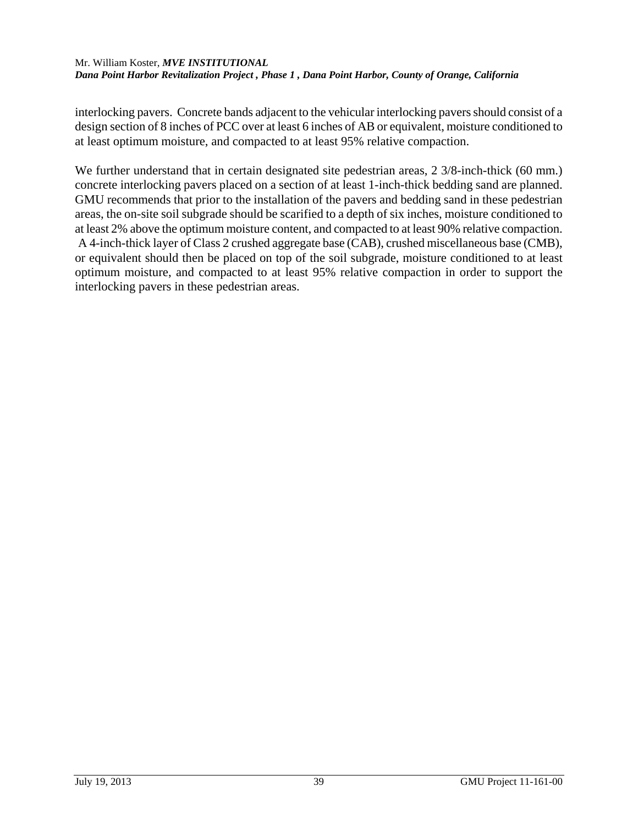interlocking pavers. Concrete bands adjacent to the vehicular interlocking pavers should consist of a design section of 8 inches of PCC over at least 6 inches of AB or equivalent, moisture conditioned to at least optimum moisture, and compacted to at least 95% relative compaction.

We further understand that in certain designated site pedestrian areas, 2 3/8-inch-thick (60 mm.) concrete interlocking pavers placed on a section of at least 1-inch-thick bedding sand are planned. GMU recommends that prior to the installation of the pavers and bedding sand in these pedestrian areas, the on-site soil subgrade should be scarified to a depth of six inches, moisture conditioned to at least 2% above the optimum moisture content, and compacted to at least 90% relative compaction. A 4-inch-thick layer of Class 2 crushed aggregate base (CAB), crushed miscellaneous base (CMB), or equivalent should then be placed on top of the soil subgrade, moisture conditioned to at least optimum moisture, and compacted to at least 95% relative compaction in order to support the interlocking pavers in these pedestrian areas.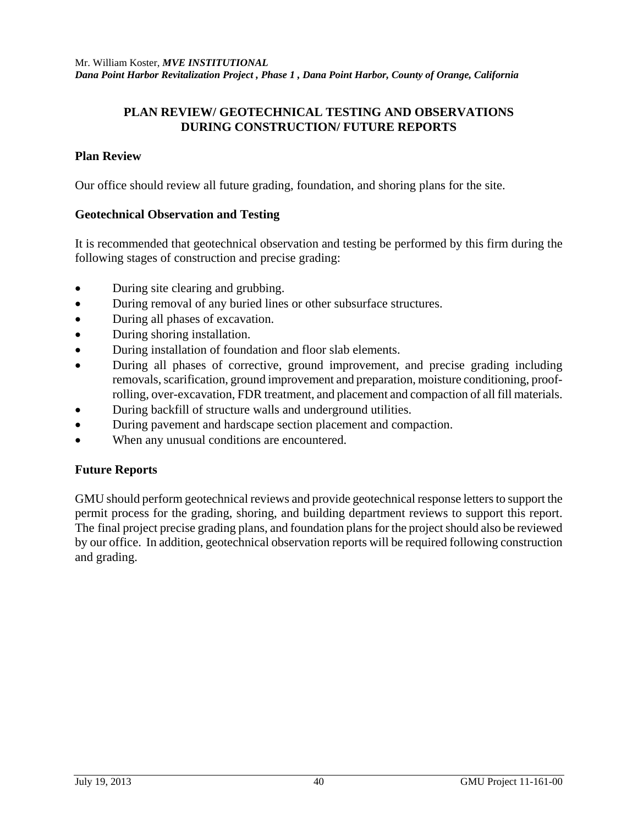## **PLAN REVIEW/ GEOTECHNICAL TESTING AND OBSERVATIONS DURING CONSTRUCTION/ FUTURE REPORTS**

### **Plan Review**

Our office should review all future grading, foundation, and shoring plans for the site.

### **Geotechnical Observation and Testing**

It is recommended that geotechnical observation and testing be performed by this firm during the following stages of construction and precise grading:

- During site clearing and grubbing.
- During removal of any buried lines or other subsurface structures.
- During all phases of excavation.
- During shoring installation.
- During installation of foundation and floor slab elements.
- During all phases of corrective, ground improvement, and precise grading including removals, scarification, ground improvement and preparation, moisture conditioning, proofrolling, over-excavation, FDR treatment, and placement and compaction of all fill materials.
- During backfill of structure walls and underground utilities.
- During pavement and hardscape section placement and compaction.
- When any unusual conditions are encountered.

### **Future Reports**

GMU should perform geotechnical reviews and provide geotechnical response letters to support the permit process for the grading, shoring, and building department reviews to support this report. The final project precise grading plans, and foundation plans for the project should also be reviewed by our office. In addition, geotechnical observation reports will be required following construction and grading.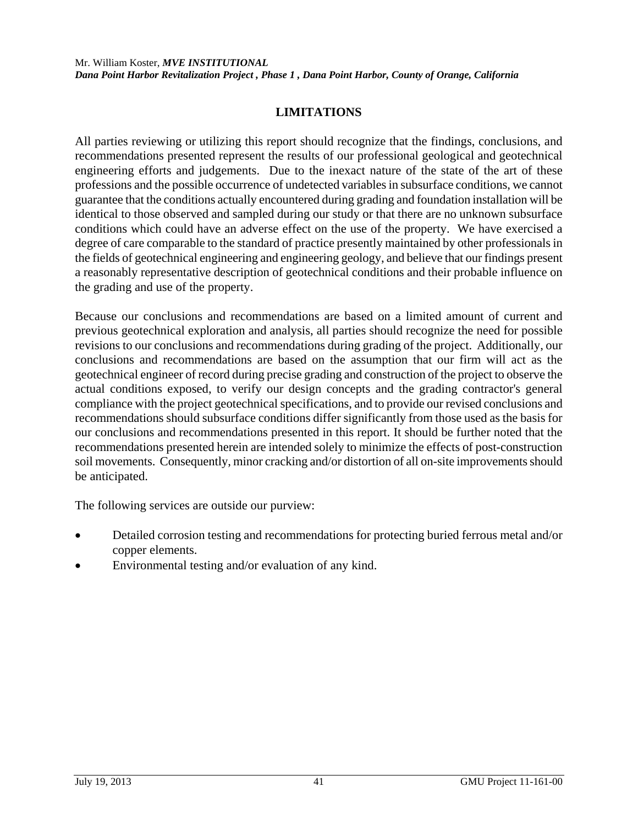## **LIMITATIONS**

All parties reviewing or utilizing this report should recognize that the findings, conclusions, and recommendations presented represent the results of our professional geological and geotechnical engineering efforts and judgements. Due to the inexact nature of the state of the art of these professions and the possible occurrence of undetected variables in subsurface conditions, we cannot guarantee that the conditions actually encountered during grading and foundation installation will be identical to those observed and sampled during our study or that there are no unknown subsurface conditions which could have an adverse effect on the use of the property. We have exercised a degree of care comparable to the standard of practice presently maintained by other professionals in the fields of geotechnical engineering and engineering geology, and believe that our findings present a reasonably representative description of geotechnical conditions and their probable influence on the grading and use of the property.

Because our conclusions and recommendations are based on a limited amount of current and previous geotechnical exploration and analysis, all parties should recognize the need for possible revisions to our conclusions and recommendations during grading of the project. Additionally, our conclusions and recommendations are based on the assumption that our firm will act as the geotechnical engineer of record during precise grading and construction of the project to observe the actual conditions exposed, to verify our design concepts and the grading contractor's general compliance with the project geotechnical specifications, and to provide our revised conclusions and recommendations should subsurface conditions differ significantly from those used as the basis for our conclusions and recommendations presented in this report. It should be further noted that the recommendations presented herein are intended solely to minimize the effects of post-construction soil movements. Consequently, minor cracking and/or distortion of all on-site improvements should be anticipated.

The following services are outside our purview:

- Detailed corrosion testing and recommendations for protecting buried ferrous metal and/or copper elements.
- Environmental testing and/or evaluation of any kind.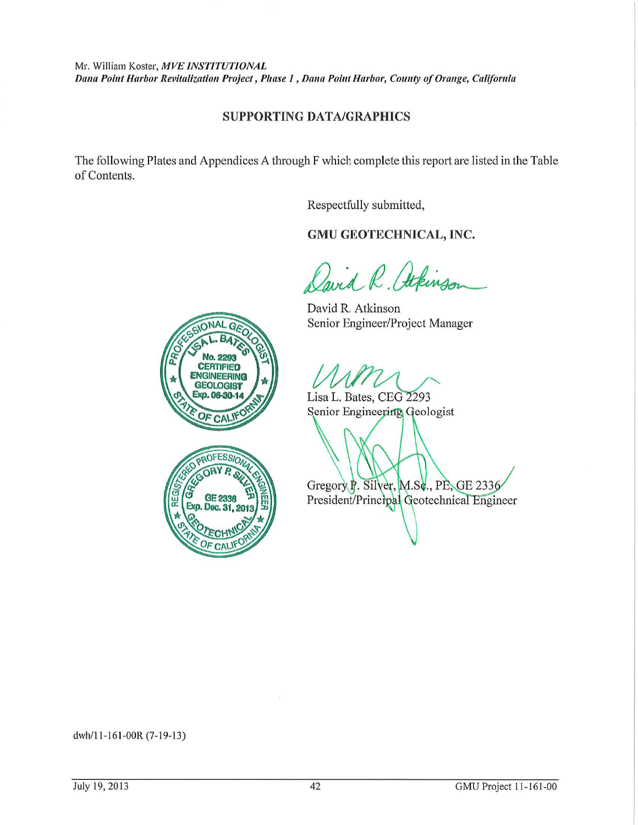#### **SUPPORTING DATA/GRAPHICS**

The following Plates and Appendices A through F which complete this report are listed in the Table of Contents.

Respectfully submitted,

#### GMU GEOTECHNICAL, INC.

Cavid R. Atkinson

David R. Atkinson Senior Engineer/Project Manager

Lisa L. Bates, CEG 2293 Senior Engineering Geologist



**CERTIFIED** 

Gregory P. Silver, M.Sc., PE, GE 2336 President/Principal Geotechnical Engineer

dwh/11-161-00R (7-19-13)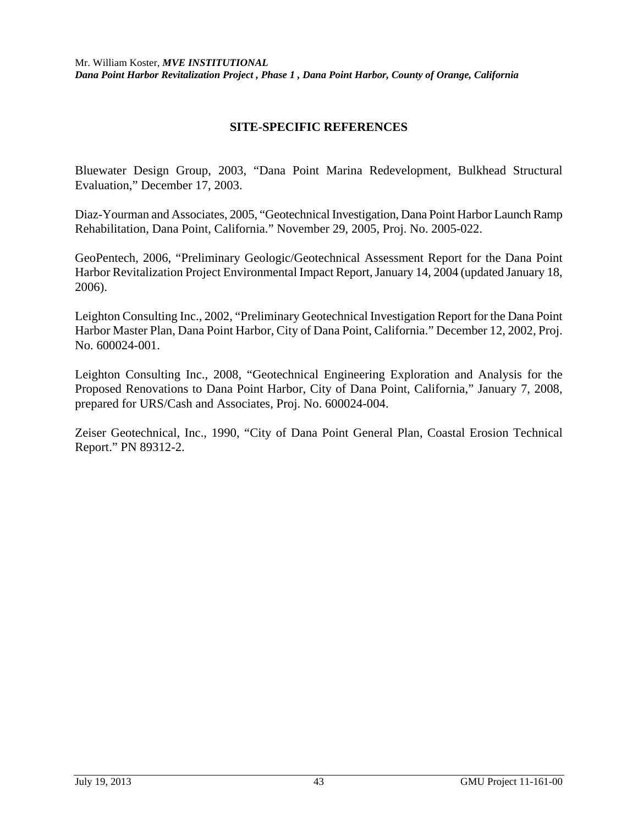### **SITE-SPECIFIC REFERENCES**

Bluewater Design Group, 2003, "Dana Point Marina Redevelopment, Bulkhead Structural Evaluation," December 17, 2003.

Diaz-Yourman and Associates, 2005, "Geotechnical Investigation, Dana Point Harbor Launch Ramp Rehabilitation, Dana Point, California." November 29, 2005, Proj. No. 2005-022.

GeoPentech, 2006, "Preliminary Geologic/Geotechnical Assessment Report for the Dana Point Harbor Revitalization Project Environmental Impact Report, January 14, 2004 (updated January 18, 2006).

Leighton Consulting Inc., 2002, "Preliminary Geotechnical Investigation Report for the Dana Point Harbor Master Plan, Dana Point Harbor, City of Dana Point, California." December 12, 2002, Proj. No. 600024-001.

Leighton Consulting Inc., 2008, "Geotechnical Engineering Exploration and Analysis for the Proposed Renovations to Dana Point Harbor, City of Dana Point, California," January 7, 2008, prepared for URS/Cash and Associates, Proj. No. 600024-004.

Zeiser Geotechnical, Inc., 1990, "City of Dana Point General Plan, Coastal Erosion Technical Report." PN 89312-2.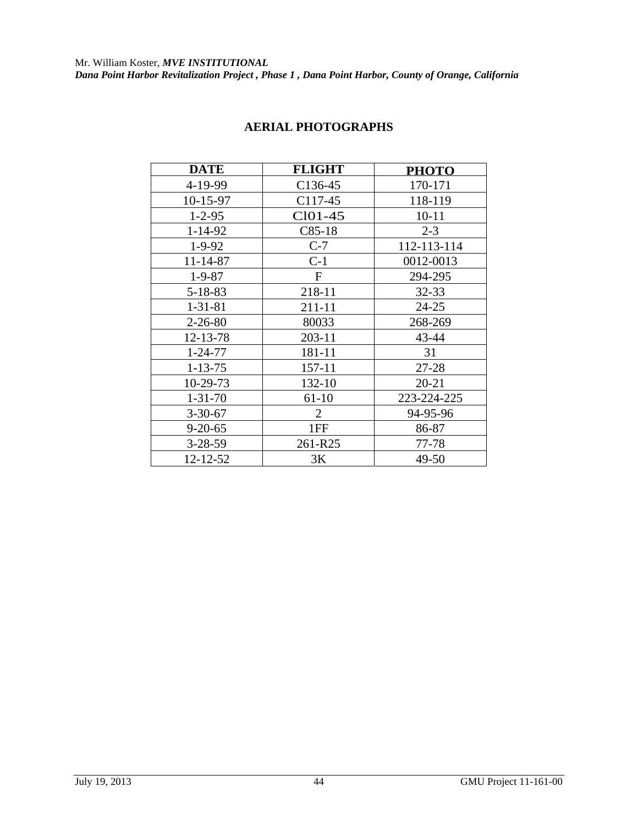| <b>DATE</b>   | <b>FLIGHT</b>  | <b>PHOTO</b> |
|---------------|----------------|--------------|
| 4-19-99       | $C136-45$      | 170-171      |
| 10-15-97      | C117-45        | 118-119      |
| $1 - 2 - 95$  | $Cl01-45$      | $10 - 11$    |
| 1-14-92       | $C85-18$       | $2 - 3$      |
| $1 - 9 - 92$  | $C-7$          | 112-113-114  |
| 11-14-87      | $C-1$          | 0012-0013    |
| $1 - 9 - 87$  | $\mathbf F$    | 294-295      |
| $5 - 18 - 83$ | 218-11         | $32 - 33$    |
| $1 - 31 - 81$ | 211-11         | $24 - 25$    |
| $2 - 26 - 80$ | 80033          | 268-269      |
| 12-13-78      | 203-11         | 43-44        |
| $1 - 24 - 77$ | 181-11         | 31           |
| $1 - 13 - 75$ | 157-11         | 27-28        |
| 10-29-73      | 132-10         | $20 - 21$    |
| $1 - 31 - 70$ | $61-10$        | 223-224-225  |
| $3 - 30 - 67$ | $\overline{2}$ | 94-95-96     |
| $9 - 20 - 65$ | 1FF            | 86-87        |
| $3 - 28 - 59$ | 261-R25        | 77-78        |
| 12-12-52      | 3K             | 49-50        |

## **AERIAL PHOTOGRAPHS**